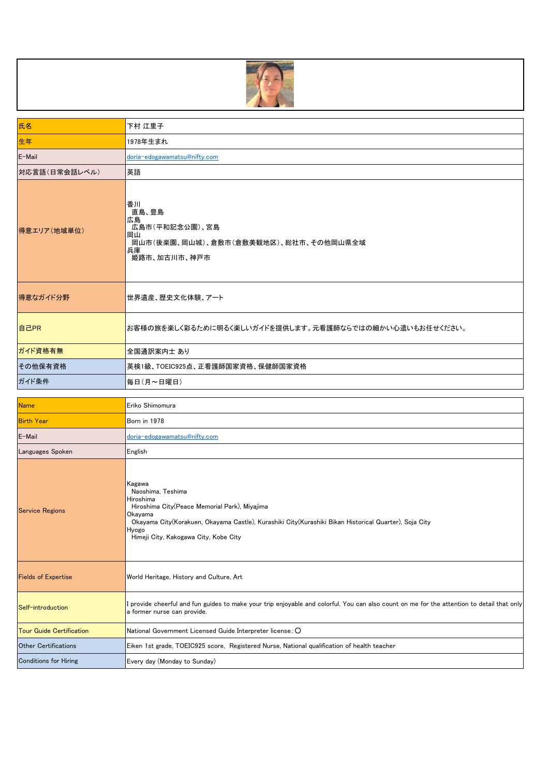

| 氏名                | 下村 江里子                                                                                                   |
|-------------------|----------------------------------------------------------------------------------------------------------|
| 生年                | 1978年生まれ                                                                                                 |
| E-Mail            | doria-edogawamatsu@nifty.com                                                                             |
| 対応言語(日常会話レベル)     | 英語                                                                                                       |
| 得意エリア(地域単位)       | 香川<br>直島、豊島<br>広島<br>広島市(平和記念公園)、宮島<br>岡山<br>岡山市(後楽園、岡山城)、倉敷市(倉敷美観地区)、総社市、その他岡山県全域<br>兵庫<br>姫路市、加古川市、神戸市 |
| 得意なガイド分野          | 世界遺産、歴史文化体験、アート                                                                                          |
| 自己PR              | お客様の旅を楽しく彩るために明るく楽しいガイドを提供します。元看護師ならではの細かい心遣いもお任せください。                                                   |
| ガイド資格有無           | 全国通訳案内士 あり                                                                                               |
| その他保有資格           | 英検1級、TOEIC925点、正看護師国家資格、保健師国家資格                                                                          |
| ガイド条件             | 毎日(月~日曜日)                                                                                                |
|                   |                                                                                                          |
| <b>Name</b>       | Eriko Shimomura                                                                                          |
| <b>Birth Year</b> | Born in 1978                                                                                             |
| E-Mail            | doria-edogawamatsu@nifty.com                                                                             |
|                   |                                                                                                          |

| Languages Spoken                | English                                                                                                                                                                                                                                                         |
|---------------------------------|-----------------------------------------------------------------------------------------------------------------------------------------------------------------------------------------------------------------------------------------------------------------|
| <b>Service Regions</b>          | Kagawa<br>Naoshima, Teshima<br>Hiroshima<br>Hiroshima City(Peace Memorial Park), Miyajima<br>Okayama<br>Okayama City(Korakuen, Okayama Castle), Kurashiki City(Kurashiki Bikan Historical Quarter), Soja City<br>Hyogo<br>Himeji City, Kakogawa City, Kobe City |
| <b>Fields of Expertise</b>      | World Heritage, History and Culture, Art                                                                                                                                                                                                                        |
| Self-introduction               | provide cheerful and fun guides to make your trip enjoyable and colorful. You can also count on me for the attention to detail that only<br>a former nurse can provide.                                                                                         |
| <b>Tour Guide Certification</b> | National Government Licensed Guide Interpreter license: O                                                                                                                                                                                                       |
| <b>Other Certifications</b>     | Eiken 1st grade, TOEIC925 score, Registered Nurse, National qualification of health teacher                                                                                                                                                                     |
| <b>Conditions for Hiring</b>    | Every day (Monday to Sunday)                                                                                                                                                                                                                                    |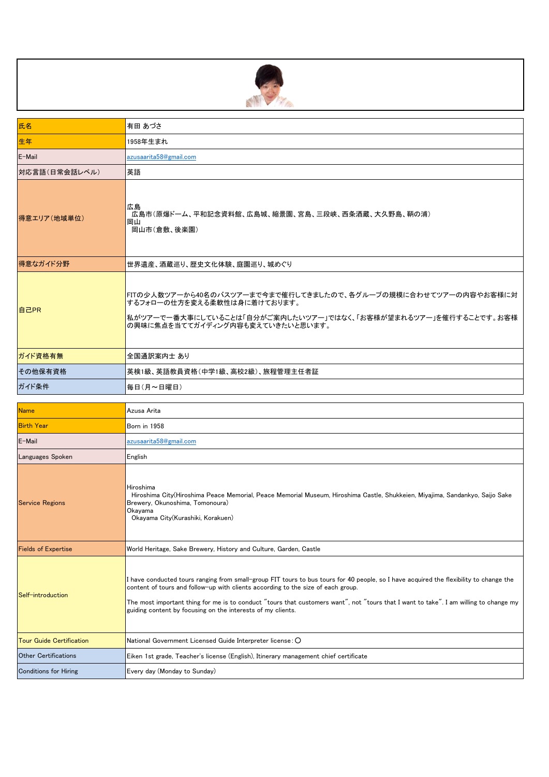

| 氏名                         | 有田 あづさ                                                                                                                                                                                                                                                                                                                                                                                                                             |
|----------------------------|------------------------------------------------------------------------------------------------------------------------------------------------------------------------------------------------------------------------------------------------------------------------------------------------------------------------------------------------------------------------------------------------------------------------------------|
| 生年                         | 1958年生まれ                                                                                                                                                                                                                                                                                                                                                                                                                           |
| E-Mail                     | azusaarita58@gmail.com                                                                                                                                                                                                                                                                                                                                                                                                             |
| 対応言語(日常会話レベル)              | 英語                                                                                                                                                                                                                                                                                                                                                                                                                                 |
| 得意エリア(地域単位)                | 広島<br>広島市(原爆ドーム、平和記念資料館、広島城、縮景園、宮島、三段峡、西条酒蔵、大久野島、鞆の浦)<br>岡山<br>岡山市(倉敷、後楽園)                                                                                                                                                                                                                                                                                                                                                         |
| 得意なガイド分野                   | 世界遺産、酒蔵巡り、歴史文化体験、庭園巡り、城めぐり                                                                                                                                                                                                                                                                                                                                                                                                         |
| 自己PR                       | FITの少人数ツアーから40名のバスツアーまで今まで催行してきましたので、各グループの規模に合わせてツアーの内容やお客様に対<br>するフォローの仕方を変える柔軟性は身に着けております。<br> 私がツアーで一番大事にしていることは「自分がご案内したいツアー」ではなく、「お客様が望まれるツアー」を催行することです。お客様<br>の興味に焦点を当ててガイディング内容も変えていきたいと思います。                                                                                                                                                                                                                              |
| ガイド資格有無                    | 全国通訳案内士 あり                                                                                                                                                                                                                                                                                                                                                                                                                         |
| その他保有資格                    | 英検1級、英語教員資格(中学1級、高校2級)、旅程管理主任者証                                                                                                                                                                                                                                                                                                                                                                                                    |
| ガイド条件                      | 毎日(月~日曜日)                                                                                                                                                                                                                                                                                                                                                                                                                          |
|                            |                                                                                                                                                                                                                                                                                                                                                                                                                                    |
| <b>Name</b>                | Azusa Arita                                                                                                                                                                                                                                                                                                                                                                                                                        |
| <b>Birth Year</b>          | Born in 1958                                                                                                                                                                                                                                                                                                                                                                                                                       |
| E-Mail                     | azusaarita58@gmail.com                                                                                                                                                                                                                                                                                                                                                                                                             |
| Languages Spoken           | English                                                                                                                                                                                                                                                                                                                                                                                                                            |
| <b>Service Regions</b>     | Hiroshima<br>Hiroshima City(Hiroshima Peace Memorial, Peace Memorial Museum, Hiroshima Castle, Shukkeien, Miyajima, Sandankyo, Saijo Sake<br>Brewery, Okunoshima, Tomonoura)<br>Okayama<br>Okayama City(Kurashiki, Korakuen)                                                                                                                                                                                                       |
| <b>Fields of Expertise</b> | World Heritage, Sake Brewery, History and Culture, Garden, Castle                                                                                                                                                                                                                                                                                                                                                                  |
| Self-introduction          | I have conducted tours ranging from small-group FIT tours to bus tours for 40 people, so I have acquired the flexibility to change the<br>content of tours and follow-up with clients according to the size of each group.<br>The most important thing for me is to conduct "tours that customers want", not "tours that I want to take". I am willing to change my<br>guiding content by focusing on the interests of my clients. |

Tour Guide Certification National Government Licensed Guide Interpreter license:○

Conditions for Hiring **Every day (Monday to Sunday)** 

Other Certifications **Eiken 1st grade, Teacher's license (English)**, Itinerary management chief certificate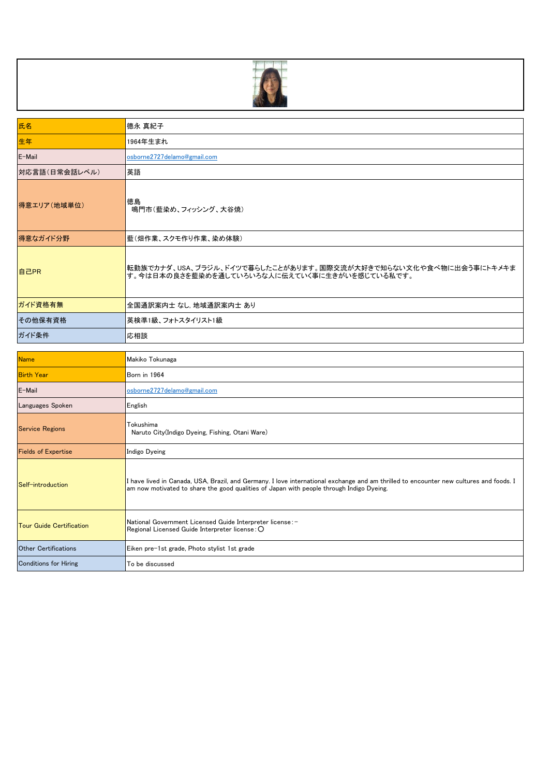

| 氏名            | 德永 真紀子                                                                                                           |
|---------------|------------------------------------------------------------------------------------------------------------------|
| 生年            | 1964年生まれ                                                                                                         |
| E-Mail        | osborne2727delamo@gmail.com                                                                                      |
| 対応言語(日常会話レベル) | 英語                                                                                                               |
| 得意エリア(地域単位)   | 徳島<br>鳴門市(藍染め、フィッシング、大谷焼)                                                                                        |
| 得意なガイド分野      | 藍(畑作業、スクモ作り作業、染め体験)                                                                                              |
| 自己PR          | 転勤族でカナダ、USA、ブラジル、ドイツで暮らしたことがあります。国際交流が大好きで知らない文化や食べ物に出会う事にトキメキま<br>す。今は日本の良さを藍染めを通していろいろな人に伝えていく事に生きがいを感じている私です。 |
| ガイド資格有無       | 全国通訳案内士 なし, 地域通訳案内士 あり                                                                                           |
| その他保有資格       | 英検準1級、フォトスタイリスト1級                                                                                                |
| ガイド条件         | 応相談                                                                                                              |
|               |                                                                                                                  |

| <b>Name</b>                     | Makiko Tokunaga                                                                                                                                                                                                                    |
|---------------------------------|------------------------------------------------------------------------------------------------------------------------------------------------------------------------------------------------------------------------------------|
| <b>Birth Year</b>               | Born in 1964                                                                                                                                                                                                                       |
| E-Mail                          | osborne2727delamo@gmail.com                                                                                                                                                                                                        |
| Languages Spoken                | English                                                                                                                                                                                                                            |
| <b>Service Regions</b>          | Tokushima<br>Naruto City(Indigo Dyeing, Fishing, Otani Ware)                                                                                                                                                                       |
| <b>Fields of Expertise</b>      | Indigo Dyeing                                                                                                                                                                                                                      |
| Self-introduction               | I have lived in Canada, USA, Brazil, and Germany. I love international exchange and am thrilled to encounter new cultures and foods. I<br>am now motivated to share the good qualities of Japan with people through Indigo Dyeing. |
| <b>Tour Guide Certification</b> | National Government Licensed Guide Interpreter license: -<br>$\sf Re$ gional Licensed Guide Interpreter license : $\sf O$                                                                                                          |
| <b>Other Certifications</b>     | Eiken pre-1st grade, Photo stylist 1st grade                                                                                                                                                                                       |
| <b>Conditions for Hiring</b>    | To be discussed                                                                                                                                                                                                                    |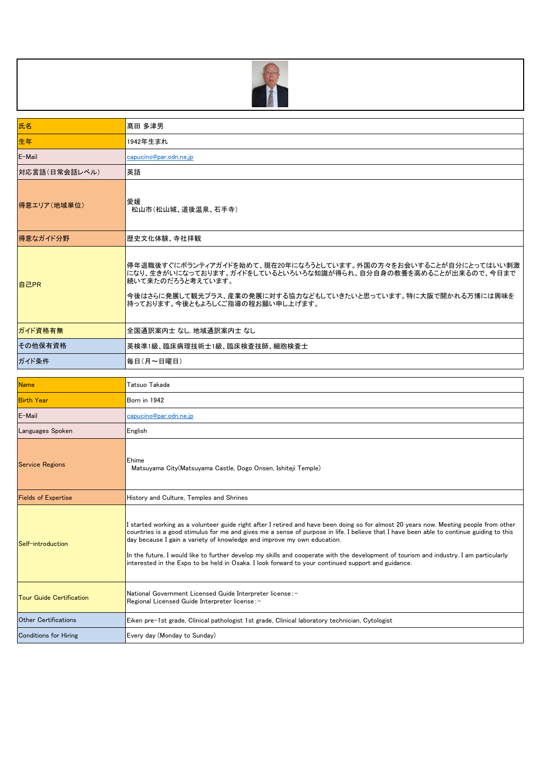

| 氏名                              | 高田 多津男                                                                                                                                                                                                                                                                                                                                                                                                                                                                                                                                                                                                        |
|---------------------------------|---------------------------------------------------------------------------------------------------------------------------------------------------------------------------------------------------------------------------------------------------------------------------------------------------------------------------------------------------------------------------------------------------------------------------------------------------------------------------------------------------------------------------------------------------------------------------------------------------------------|
| 生年                              | 1942年生まれ                                                                                                                                                                                                                                                                                                                                                                                                                                                                                                                                                                                                      |
| E-Mail                          | capucino@par.odn.ne.jp                                                                                                                                                                                                                                                                                                                                                                                                                                                                                                                                                                                        |
| 対応言語(日常会話レベル)                   | 英語                                                                                                                                                                                                                                                                                                                                                                                                                                                                                                                                                                                                            |
| 得意エリア(地域単位)                     | 愛媛<br>松山市(松山城、道後温泉、石手寺)                                                                                                                                                                                                                                                                                                                                                                                                                                                                                                                                                                                       |
| 得意なガイド分野                        | 歴史文化体験、寺社拝観                                                                                                                                                                                                                                                                                                                                                                                                                                                                                                                                                                                                   |
| 自己PR                            | 停年退職後すぐにボランティアガイドを始めて、現在20年になろうとしています。外国の方々をお会いすることが自分にとってはいい刺激<br>になり、生きがいになっております。ガイドをしているといろいろな知識が得られ、自分自身の教養を高めることが出来るので、今日まで<br>続いて来たのだろうと考えています。<br>今後はさらに発展して観光プラス、産業の発展に対する協力などもしていきたいと思っています。特に大阪で開かれる万博には興味を<br>持っております。今後ともよろしくご指導の程お願い申し上げます。                                                                                                                                                                                                                                                                                                                                                     |
| ガイド資格有無                         | 全国通訳案内士 なし 地域通訳案内士 なし                                                                                                                                                                                                                                                                                                                                                                                                                                                                                                                                                                                         |
| その他保有資格                         | 英検準1級、臨床病理技術士1級、臨床検査技師、細胞検査士                                                                                                                                                                                                                                                                                                                                                                                                                                                                                                                                                                                  |
| ガイド条件                           | 毎日(月~日曜日)                                                                                                                                                                                                                                                                                                                                                                                                                                                                                                                                                                                                     |
|                                 |                                                                                                                                                                                                                                                                                                                                                                                                                                                                                                                                                                                                               |
| <b>Name</b>                     | Tatsuo Takada                                                                                                                                                                                                                                                                                                                                                                                                                                                                                                                                                                                                 |
| <b>Birth Year</b>               | Born in 1942                                                                                                                                                                                                                                                                                                                                                                                                                                                                                                                                                                                                  |
| E-Mail                          | capucino@par.odn.ne.jp                                                                                                                                                                                                                                                                                                                                                                                                                                                                                                                                                                                        |
| Languages Spoken                | English                                                                                                                                                                                                                                                                                                                                                                                                                                                                                                                                                                                                       |
| <b>Service Regions</b>          | Ehime<br>Matsuyama City (Matsuyama Castle, Dogo Onsen, Ishiteji Temple)                                                                                                                                                                                                                                                                                                                                                                                                                                                                                                                                       |
| <b>Fields of Expertise</b>      | History and Culture, Temples and Shrines                                                                                                                                                                                                                                                                                                                                                                                                                                                                                                                                                                      |
| Self-introduction               | I started working as a volunteer guide right after I retired and have been doing so for almost 20 years now. Meeting people from other<br>countries is a good stimulus for me and gives me a sense of purpose in life. I believe that I have been able to continue guiding to this<br>day because I gain a variety of knowledge and improve my own education.<br>In the future, I would like to further develop my skills and cooperate with the development of tourism and industry. I am particularly<br>interested in the Expo to be held in Osaka. I look forward to your continued support and guidance. |
| <b>Tour Guide Certification</b> | National Government Licensed Guide Interpreter license: -<br>Regional Licensed Guide Interpreter license:-                                                                                                                                                                                                                                                                                                                                                                                                                                                                                                    |
| <b>Other Certifications</b>     | Eiken pre-1st grade, Clinical pathologist 1st grade, Clinical laboratory technician, Cytologist                                                                                                                                                                                                                                                                                                                                                                                                                                                                                                               |
| <b>Conditions for Hiring</b>    | Every day (Monday to Sunday)                                                                                                                                                                                                                                                                                                                                                                                                                                                                                                                                                                                  |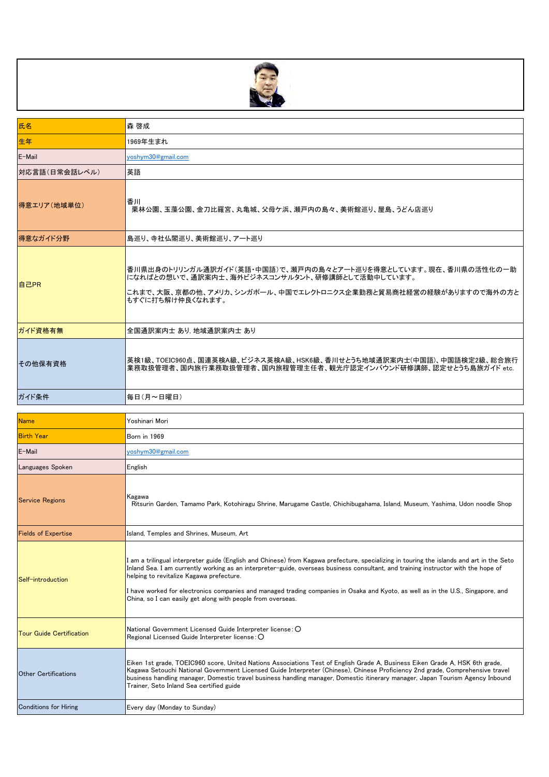

| 氏名                              | 森 啓成                                                                                                                                                                                                                                                                                                                                                                                                                                                                                                                           |
|---------------------------------|--------------------------------------------------------------------------------------------------------------------------------------------------------------------------------------------------------------------------------------------------------------------------------------------------------------------------------------------------------------------------------------------------------------------------------------------------------------------------------------------------------------------------------|
| 生年                              | 1969年生まれ                                                                                                                                                                                                                                                                                                                                                                                                                                                                                                                       |
| E-Mail                          | yoshym30@gmail.com                                                                                                                                                                                                                                                                                                                                                                                                                                                                                                             |
| 対応言語(日常会話レベル)                   | 英語                                                                                                                                                                                                                                                                                                                                                                                                                                                                                                                             |
| 得意エリア(地域単位)                     | 香川<br>栗林公園、玉藻公園、金刀比羅宮、丸亀城、父母ケ浜、瀬戸内の島々、美術館巡り、屋島、うどん店巡り                                                                                                                                                                                                                                                                                                                                                                                                                                                                          |
| 得意なガイド分野                        | 島巡り、寺社仏閣巡り、美術館巡り、アート巡り                                                                                                                                                                                                                                                                                                                                                                                                                                                                                                         |
| 自己PR                            | 香川県出身のトリリンガル通訳ガイド(英語・中国語)で、瀬戸内の島々とアート巡りを得意としています。現在、香川県の活性化の一助<br>になればとの想いで、通訳案内士、海外ビジネスコンサルタント、研修講師として活動中しています。<br>これまで、大阪、京都の他、アメリカ、シンガポール、中国でエレクトロニクス企業勤務と貿易商社経営の経験がありますので海外の方と<br>もすぐに打ち解け仲良くなれます。                                                                                                                                                                                                                                                                                                                         |
| ガイド資格有無                         | 全国通訳案内士 あり 地域通訳案内士 あり                                                                                                                                                                                                                                                                                                                                                                                                                                                                                                          |
| その他保有資格                         | 英検1級、TOEIC960点、国連英検A級、ビジネス英検A級、HSK6級、香川せとうち地域通訳案内士(中国語)、中国語検定2級、総合旅行<br>業務取扱管理者、国内旅行業務取扱管理者、国内旅程管理主任者、観光庁認定インバウンド研修講師、認定せとうち島旅ガイド etc.                                                                                                                                                                                                                                                                                                                                                                                         |
| ガイド条件                           | 毎日(月~日曜日)                                                                                                                                                                                                                                                                                                                                                                                                                                                                                                                      |
|                                 |                                                                                                                                                                                                                                                                                                                                                                                                                                                                                                                                |
| <b>Name</b>                     | Yoshinari Mori                                                                                                                                                                                                                                                                                                                                                                                                                                                                                                                 |
| <b>Birth Year</b>               | Born in 1969                                                                                                                                                                                                                                                                                                                                                                                                                                                                                                                   |
| E-Mail                          | yoshym30@gmail.com                                                                                                                                                                                                                                                                                                                                                                                                                                                                                                             |
| Languages Spoken                | English                                                                                                                                                                                                                                                                                                                                                                                                                                                                                                                        |
| <b>Service Regions</b>          | Kagawa<br>Ritsurin Garden, Tamamo Park, Kotohiragu Shrine, Marugame Castle, Chichibugahama, Island, Museum, Yashima, Udon noodle Shop                                                                                                                                                                                                                                                                                                                                                                                          |
| <b>Fields of Expertise</b>      | Island, Temples and Shrines, Museum, Art                                                                                                                                                                                                                                                                                                                                                                                                                                                                                       |
| Self-introduction               | I am a trilingual interpreter guide (English and Chinese) from Kagawa prefecture, specializing in touring the islands and art in the Seto<br>Inland Sea. I am currently working as an interpreter-guide, overseas business consultant, and training instructor with the hope of<br>helping to revitalize Kagawa prefecture.<br>I have worked for electronics companies and managed trading companies in Osaka and Kyoto, as well as in the U.S., Singapore, and<br>China, so I can easily get along with people from overseas. |
| <b>Tour Guide Certification</b> | National Government Licensed Guide Interpreter license: O<br>Regional Licensed Guide Interpreter license: O                                                                                                                                                                                                                                                                                                                                                                                                                    |
| <b>Other Certifications</b>     | Eiken 1st grade, TOEIC960 score, United Nations Associations Test of English Grade A, Business Eiken Grade A, HSK 6th grade,<br>Kagawa Setouchi National Government Licensed Guide Interpreter (Chinese), Chinese Proficiency 2nd grade, Comprehensive travel<br>business handling manager, Domestic travel business handling manager, Domestic itinerary manager, Japan Tourism Agency Inbound<br>Trainer, Seto Inland Sea certified guide                                                                                    |
| <b>Conditions for Hiring</b>    | Every day (Monday to Sunday)                                                                                                                                                                                                                                                                                                                                                                                                                                                                                                   |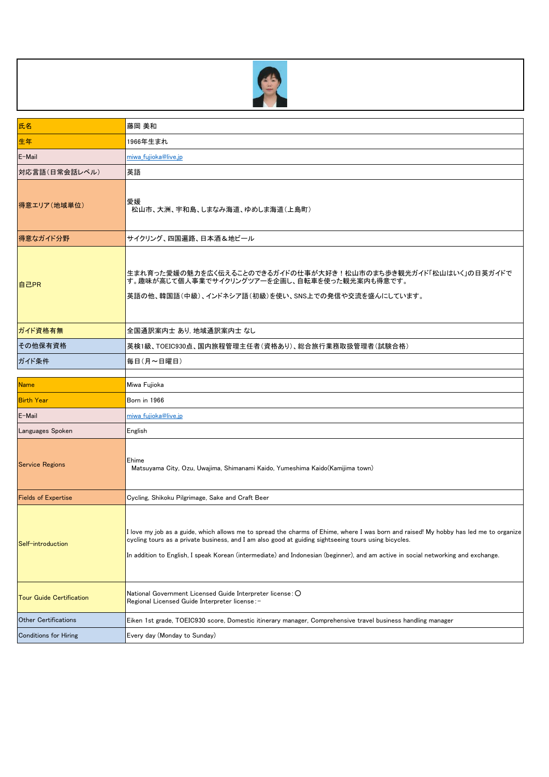

| 氏名                              | 藤岡 美和                                                                                                                                                                                                                                               |
|---------------------------------|-----------------------------------------------------------------------------------------------------------------------------------------------------------------------------------------------------------------------------------------------------|
| 生年                              | 1966年生まれ                                                                                                                                                                                                                                            |
| E-Mail                          | miwa fujioka@live.jp                                                                                                                                                                                                                                |
| 対応言語(日常会話レベル)                   | 英語                                                                                                                                                                                                                                                  |
| 得意エリア(地域単位)                     | 愛媛<br>松山市、大洲、宇和島、しまなみ海道、ゆめしま海道(上島町)                                                                                                                                                                                                                 |
| 得意なガイド分野                        | サイクリング、四国遍路、日本酒&地ビール                                                                                                                                                                                                                                |
| 自己PR                            | 生まれ育った愛媛の魅力を広く伝えることのできるガイドの仕事が大好き!松山市のまち歩き観光ガイド「松山はいく」の日英ガイドで<br>す。趣味が高じて個人事業でサイクリングツアーを企画し、自転車を使った観光案内も得意です。<br>英語の他、韓国語(中級)、インドネシア語(初級)を使い、SNS上での発信や交流を盛んにしています。                                                                                  |
| ガイド資格有無                         | 全国通訳案内士 あり, 地域通訳案内士 なし                                                                                                                                                                                                                              |
| その他保有資格                         | 英検1級、TOEIC930点、国内旅程管理主任者(資格あり)、総合旅行業務取扱管理者(試験合格)                                                                                                                                                                                                    |
| ガイド条件                           | 毎日(月~日曜日)                                                                                                                                                                                                                                           |
|                                 |                                                                                                                                                                                                                                                     |
|                                 |                                                                                                                                                                                                                                                     |
| <b>Name</b>                     | Miwa Fujioka                                                                                                                                                                                                                                        |
| <b>Birth Year</b>               | Born in 1966                                                                                                                                                                                                                                        |
| E-Mail                          | miwa fujioka@live.jp                                                                                                                                                                                                                                |
| Languages Spoken                | English                                                                                                                                                                                                                                             |
| <b>Service Regions</b>          | Ehime<br>Matsuyama City, Ozu, Uwajima, Shimanami Kaido, Yumeshima Kaido(Kamijima town)                                                                                                                                                              |
| <b>Fields of Expertise</b>      | Cycling, Shikoku Pilgrimage, Sake and Craft Beer                                                                                                                                                                                                    |
| Self-introduction               | cycling tours as a private business, and I am also good at guiding sightseeing tours using bicycles.<br>In addition to English, I speak Korean (intermediate) and Indonesian (beginner), and am active in social networking and exchange.           |
| <b>Tour Guide Certification</b> | I love my job as a guide, which allows me to spread the charms of Ehime, where I was born and raised! My hobby has led me to organize<br>National Government Licensed Guide Interpreter license: O<br>Regional Licensed Guide Interpreter license:- |
| <b>Other Certifications</b>     | Eiken 1st grade, TOEIC930 score, Domestic itinerary manager, Comprehensive travel business handling manager                                                                                                                                         |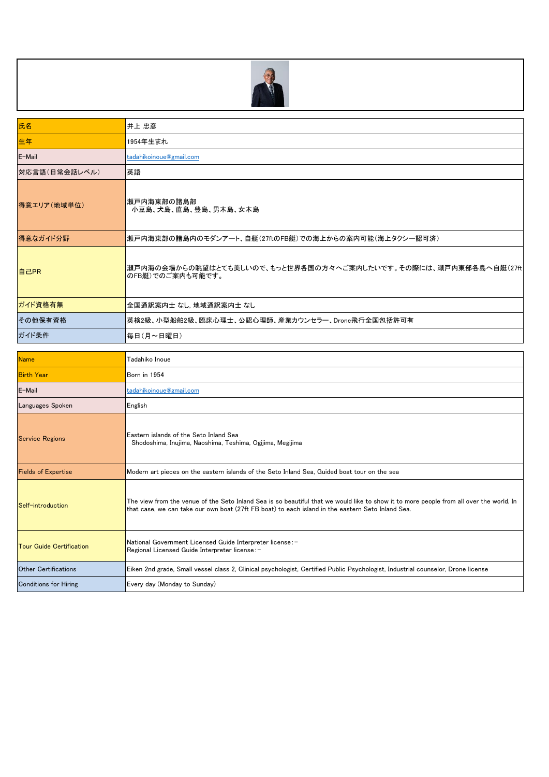

| 氏名            | 井上 忠彦                                                                                 |
|---------------|---------------------------------------------------------------------------------------|
| 生年            | 1954年生まれ                                                                              |
| E-Mail        | tadahikoinoue@gmail.com                                                               |
| 対応言語(日常会話レベル) | 英語                                                                                    |
| 得意エリア(地域単位)   | 瀬戸内海東部の諸島部<br>小豆島、犬島、直島、豊島、男木島、女木島                                                    |
| 得意なガイド分野      | 瀬戸内海東部の諸島内のモダンアート、自艇(27ftのFB艇)での海上からの案内可能(海上タクシー認可済)                                  |
| 自己PR          | 瀬戸内海の会場からの眺望はとても美しいので、もっと世界各国の方々へご案内したいです。その際には、瀬戸内東部各島へ自艇(27ft <br>■のFB艇)でのご案内も可能です。 |
| ガイド資格有無       | 全国通訳案内士 なし. 地域通訳案内士 なし                                                                |
| その他保有資格       | 英検2級、小型船舶2級、臨床心理士、公認心理師、産業カウンセラー、Drone飛行全国包括許可有                                       |
| ガイド条件         | 毎日(月~日曜日)                                                                             |

| <b>Name</b>                     | Tadahiko Inoue                                                                                                                                                                                                                               |
|---------------------------------|----------------------------------------------------------------------------------------------------------------------------------------------------------------------------------------------------------------------------------------------|
| <b>Birth Year</b>               | Born in 1954                                                                                                                                                                                                                                 |
| E-Mail                          | tadahikoinoue@gmail.com                                                                                                                                                                                                                      |
| Languages Spoken                | English                                                                                                                                                                                                                                      |
| <b>Service Regions</b>          | lEastern islands of the Seto Inland Sea<br>Shodoshima, Inujima, Naoshima, Teshima, Ogijima, Megijima                                                                                                                                         |
| <b>Fields of Expertise</b>      | Modern art pieces on the eastern islands of the Seto Inland Sea, Guided boat tour on the sea                                                                                                                                                 |
| Self-introduction               | The view from the venue of the Seto Inland Sea is so beautiful that we would like to show it to more people from all over the world. In<br>that case, we can take our own boat (27ft FB boat) to each island in the eastern Seto Inland Sea. |
| <b>Tour Guide Certification</b> | National Government Licensed Guide Interpreter license: -<br>Regional Licensed Guide Interpreter license:-                                                                                                                                   |
| <b>Other Certifications</b>     | Eiken 2nd grade, Small vessel class 2, Clinical psychologist, Certified Public Psychologist, Industrial counselor, Drone license                                                                                                             |
| <b>Conditions for Hiring</b>    | Every day (Monday to Sunday)                                                                                                                                                                                                                 |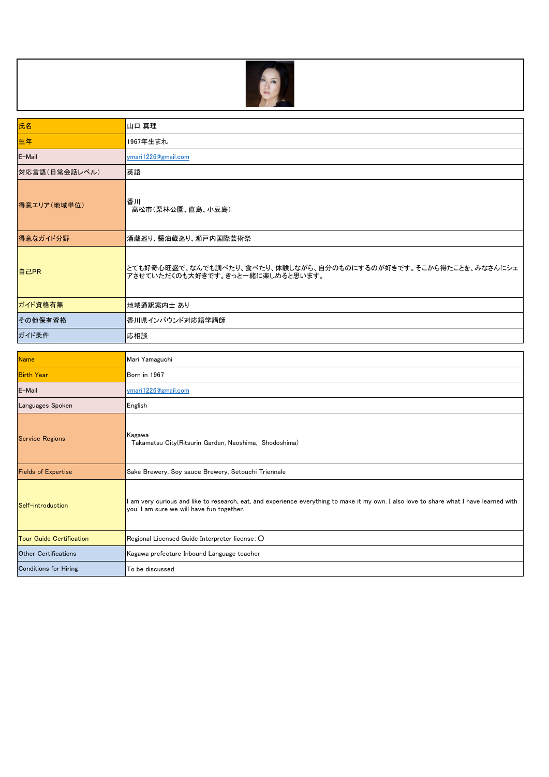

| 氏名            | 山口 真理                                                                                               |
|---------------|-----------------------------------------------------------------------------------------------------|
| 生年            | 1967年生まれ                                                                                            |
| E-Mail        | ymari1226@gmail.com                                                                                 |
| 対応言語(日常会話レベル) | 英語                                                                                                  |
| 得意エリア(地域単位)   | 香川<br>高松市(栗林公園、直島、小豆島)                                                                              |
| 得意なガイド分野      | 酒蔵巡り、醤油蔵巡り、瀬戸内国際芸術祭                                                                                 |
| 自己PR          | とても好奇心旺盛で、なんでも調べたり、食べたり、体験しながら、自分のものにするのが好きです。そこから得たことを、みなさんにシェ<br>アさせていただくのも大好きです。きっと一緒に楽しめると思います。 |
| ガイド資格有無       | 地域通訳案内士 あり                                                                                          |
| その他保有資格       | 香川県インバウンド対応語学講師                                                                                     |
| ガイド条件         | 応相談                                                                                                 |

| <b>Name</b>                     | Mari Yamaguchi                                                                                                                                                                     |
|---------------------------------|------------------------------------------------------------------------------------------------------------------------------------------------------------------------------------|
| <b>Birth Year</b>               | Born in 1967                                                                                                                                                                       |
| E-Mail                          | ymari1226@gmail.com                                                                                                                                                                |
| Languages Spoken                | English                                                                                                                                                                            |
| <b>Service Regions</b>          | Kagawa<br>Takamatsu City(Ritsurin Garden, Naoshima, Shodoshima)                                                                                                                    |
| <b>Fields of Expertise</b>      | Sake Brewery, Soy sauce Brewery, Setouchi Triennale                                                                                                                                |
| Self-introduction               | am very curious and like to research, eat, and experience everything to make it my own. I also love to share what I have learned with<br>you. I am sure we will have fun together. |
| <b>Tour Guide Certification</b> | Regional Licensed Guide Interpreter license: O                                                                                                                                     |
| <b>Other Certifications</b>     | Kagawa prefecture Inbound Language teacher                                                                                                                                         |
| <b>Conditions for Hiring</b>    | To be discussed                                                                                                                                                                    |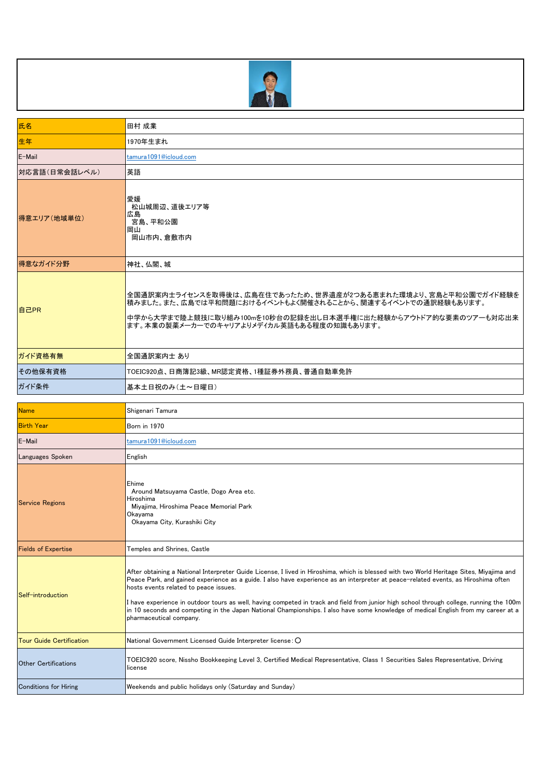

| 氏名                              | 田村 成業                                                                                                                                                                                                                                                                                                                                                                                                                                                                                                                                                                                                                                |
|---------------------------------|--------------------------------------------------------------------------------------------------------------------------------------------------------------------------------------------------------------------------------------------------------------------------------------------------------------------------------------------------------------------------------------------------------------------------------------------------------------------------------------------------------------------------------------------------------------------------------------------------------------------------------------|
| 生年                              | 1970年生まれ                                                                                                                                                                                                                                                                                                                                                                                                                                                                                                                                                                                                                             |
| E-Mail                          | tamura1091@icloud.com                                                                                                                                                                                                                                                                                                                                                                                                                                                                                                                                                                                                                |
| 対応言語(日常会話レベル)                   | 英語                                                                                                                                                                                                                                                                                                                                                                                                                                                                                                                                                                                                                                   |
| 得意エリア(地域単位)                     | 愛媛<br>松山城周辺、道後エリア等<br>広島<br>宮島、平和公園<br>岡山<br>岡山市内、倉敷市内                                                                                                                                                                                                                                                                                                                                                                                                                                                                                                                                                                               |
| 得意なガイド分野                        | 神社、仏閣、城                                                                                                                                                                                                                                                                                                                                                                                                                                                                                                                                                                                                                              |
| 自己PR                            | 全国通訳案内士ライセンスを取得後は、広島在住であったため、世界遺産が2つある恵まれた環境より、宮島と平和公園でガイド経験を<br>積みました。また、広島では平和問題におけるイベントもよく開催されることから、関連するイベントでの通訳経験もあります。<br>中学から大学まで陸上競技に取り組み100mを10秒台の記録を出し日本選手権に出た経験からアウトドア的な要素のツアーも対応出来<br>ます。本業の製薬メーカーでのキャリアよりメデイカル英語もある程度の知識もあります。                                                                                                                                                                                                                                                                                                                                                                                           |
| ガイド資格有無                         | 全国通訳案内士 あり                                                                                                                                                                                                                                                                                                                                                                                                                                                                                                                                                                                                                           |
| その他保有資格                         | TOEIC920点、日商簿記3級、MR認定資格、1種証券外務員、普通自動車免許                                                                                                                                                                                                                                                                                                                                                                                                                                                                                                                                                                                              |
| ガイド条件                           | 基本土日祝のみ(土~日曜日)                                                                                                                                                                                                                                                                                                                                                                                                                                                                                                                                                                                                                       |
|                                 |                                                                                                                                                                                                                                                                                                                                                                                                                                                                                                                                                                                                                                      |
| <b>Name</b>                     | Shigenari Tamura                                                                                                                                                                                                                                                                                                                                                                                                                                                                                                                                                                                                                     |
| <b>Birth Year</b>               | Born in 1970                                                                                                                                                                                                                                                                                                                                                                                                                                                                                                                                                                                                                         |
| E-Mail                          | tamura1091@icloud.com                                                                                                                                                                                                                                                                                                                                                                                                                                                                                                                                                                                                                |
| Languages Spoken                | English                                                                                                                                                                                                                                                                                                                                                                                                                                                                                                                                                                                                                              |
| <b>Service Regions</b>          | Ehime<br>Around Matsuyama Castle, Dogo Area etc.<br>Hiroshima<br>Miyajima, Hiroshima Peace Memorial Park<br>Okavama<br>Okayama City, Kurashiki City                                                                                                                                                                                                                                                                                                                                                                                                                                                                                  |
| <b>Fields of Expertise</b>      | Temples and Shrines, Castle                                                                                                                                                                                                                                                                                                                                                                                                                                                                                                                                                                                                          |
| Self-introduction               | After obtaining a National Interpreter Guide License, I lived in Hiroshima, which is blessed with two World Heritage Sites, Miyajima and<br>Peace Park, and gained experience as a guide. I also have experience as an interpreter at peace-related events, as Hiroshima often<br>hosts events related to peace issues.<br>I have experience in outdoor tours as well, having competed in track and field from junior high school through college, running the 100m<br>in 10 seconds and competing in the Japan National Championships. I also have some knowledge of medical English from my career at a<br>pharmaceutical company. |
| <b>Tour Guide Certification</b> | National Government Licensed Guide Interpreter license: O                                                                                                                                                                                                                                                                                                                                                                                                                                                                                                                                                                            |
| <b>Other Certifications</b>     | TOEIC920 score, Nissho Bookkeeping Level 3, Certified Medical Representative, Class 1 Securities Sales Representative, Driving<br>license                                                                                                                                                                                                                                                                                                                                                                                                                                                                                            |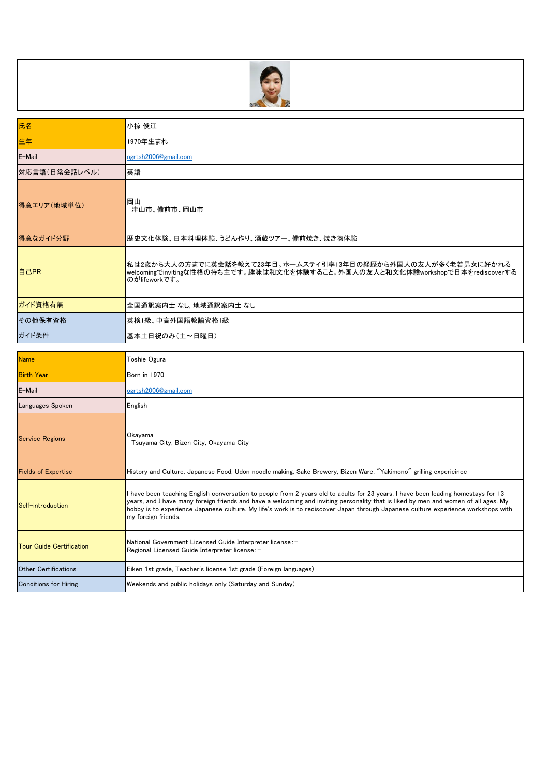

| 氏名            | 小椋 俊江                                                                                                                                                           |
|---------------|-----------------------------------------------------------------------------------------------------------------------------------------------------------------|
| 生年            | 1970年生まれ                                                                                                                                                        |
| E-Mail        | ogrtsh2006@gmail.com                                                                                                                                            |
| 対応言語(日常会話レベル) | 英語                                                                                                                                                              |
| 得意エリア(地域単位)   | 岡山<br>津山市、備前市、岡山市                                                                                                                                               |
| 得意なガイド分野      | 歴史文化体験、日本料理体験、うどん作り、酒蔵ツアー、備前焼き、焼き物体験                                                                                                                            |
| 自己PR          | 私は2歳から大人の方までに英会話を教えて23年目。ホームステイ引率13年目の経歴から外国人の友人が多く老若男女に好かれる<br>welcomingでinvitingな性格の持ち主です。趣味は和文化を体験すること。外国人の友人と和文化体験workshopで日本をrediscoverする<br>のがlifeworkです。 |
| ガイド資格有無       | 全国通訳案内士 なし 地域通訳案内士 なし                                                                                                                                           |
| その他保有資格       | 英検1級、中高外国語教諭資格1級                                                                                                                                                |
| ガイド条件         | 基本土日祝のみ(土~日曜日)                                                                                                                                                  |

| <b>Name</b>                     | <b>Toshie Ogura</b>                                                                                                                                                                                                                                                                                                                                                                                                                  |
|---------------------------------|--------------------------------------------------------------------------------------------------------------------------------------------------------------------------------------------------------------------------------------------------------------------------------------------------------------------------------------------------------------------------------------------------------------------------------------|
| <b>Birth Year</b>               | <b>Born</b> in 1970                                                                                                                                                                                                                                                                                                                                                                                                                  |
| E-Mail                          | ogrtsh2006@gmail.com                                                                                                                                                                                                                                                                                                                                                                                                                 |
| <b>Languages Spoken</b>         | English                                                                                                                                                                                                                                                                                                                                                                                                                              |
| <b>Service Regions</b>          | Okayama<br>Tsuvama City, Bizen City, Okavama City                                                                                                                                                                                                                                                                                                                                                                                    |
| <b>Fields of Expertise</b>      | History and Culture, Japanese Food, Udon noodle making, Sake Brewery, Bizen Ware, "Yakimono" grilling experieince                                                                                                                                                                                                                                                                                                                    |
| Self-introduction               | I have been teaching English conversation to people from 2 years old to adults for 23 years. I have been leading homestays for 13<br>years, and I have many foreign friends and have a welcoming and inviting personality that is liked by men and women of all ages. My<br>hobby is to experience Japanese culture. My life's work is to rediscover Japan through Japanese culture experience workshops with<br>my foreign friends. |
| <b>Tour Guide Certification</b> | National Government Licensed Guide Interpreter license: -<br>Regional Licensed Guide Interpreter license:-                                                                                                                                                                                                                                                                                                                           |
| <b>Other Certifications</b>     | Eiken 1st grade, Teacher's license 1st grade (Foreign languages)                                                                                                                                                                                                                                                                                                                                                                     |
| Conditions for Hiring           | Weekends and public holidays only (Saturday and Sunday)                                                                                                                                                                                                                                                                                                                                                                              |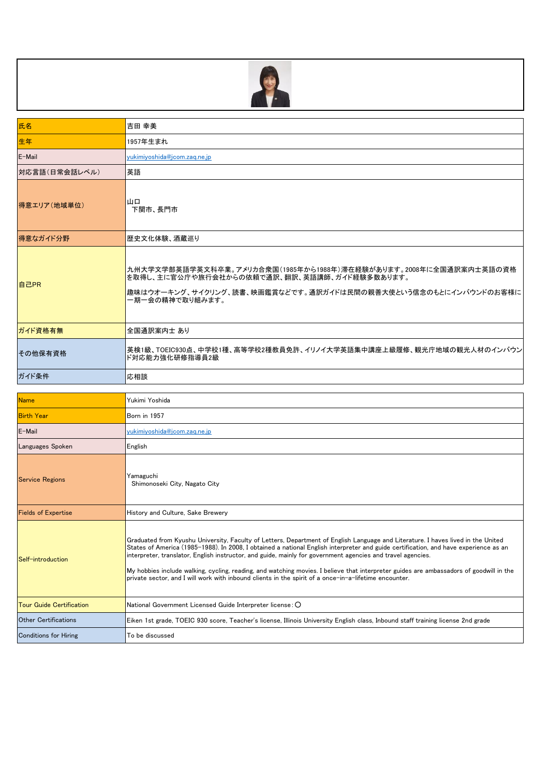

| 氏名                              | 吉田 幸美                                                                                                                                                                                                                                                                                                                                                                                                                                                                                                                                                                                                                                       |
|---------------------------------|---------------------------------------------------------------------------------------------------------------------------------------------------------------------------------------------------------------------------------------------------------------------------------------------------------------------------------------------------------------------------------------------------------------------------------------------------------------------------------------------------------------------------------------------------------------------------------------------------------------------------------------------|
| 生年                              | 1957年生まれ                                                                                                                                                                                                                                                                                                                                                                                                                                                                                                                                                                                                                                    |
| E-Mail                          | yukimiyoshida@jcom.zaq.ne.jp                                                                                                                                                                                                                                                                                                                                                                                                                                                                                                                                                                                                                |
| 対応言語(日常会話レベル)                   | 英語                                                                                                                                                                                                                                                                                                                                                                                                                                                                                                                                                                                                                                          |
| 得意エリア(地域単位)                     | 山口<br>下関市、長門市                                                                                                                                                                                                                                                                                                                                                                                                                                                                                                                                                                                                                               |
| 得意なガイド分野                        | 歴史文化体験、酒蔵巡り                                                                                                                                                                                                                                                                                                                                                                                                                                                                                                                                                                                                                                 |
| 自己PR                            | 九州大学文学部英語学英文科卒業。アメリカ合衆国(1985年から1988年)滞在経験があります。2008年に全国通訳案内士英語の資格<br>を取得し、主に官公庁や旅行会社からの依頼で通訳、翻訳、英語講師、ガイド経験多数あります。<br>趣味はウオーキング、サイクリング、読書、映画鑑賞などです。通訳ガイドは民間の親善大使という信念のもとにインバウンドのお客様に<br>一期一会の精神で取り組みます。                                                                                                                                                                                                                                                                                                                                                                                                                                      |
| ガイド資格有無                         | 全国通訳案内士 あり                                                                                                                                                                                                                                                                                                                                                                                                                                                                                                                                                                                                                                  |
| その他保有資格                         | 英検1級、TOEIC930点、中学校1種、高等学校2種教員免許、イリノイ大学英語集中講座上級履修、観光庁地域の観光人材のインバウン<br>ド対応能力強化研修指導員2級                                                                                                                                                                                                                                                                                                                                                                                                                                                                                                                                                         |
| ガイド条件                           | 応相談                                                                                                                                                                                                                                                                                                                                                                                                                                                                                                                                                                                                                                         |
|                                 |                                                                                                                                                                                                                                                                                                                                                                                                                                                                                                                                                                                                                                             |
| <b>Name</b>                     | Yukimi Yoshida                                                                                                                                                                                                                                                                                                                                                                                                                                                                                                                                                                                                                              |
| <b>Birth Year</b>               | Born in 1957                                                                                                                                                                                                                                                                                                                                                                                                                                                                                                                                                                                                                                |
| E-Mail                          | yukimiyoshida@jcom.zaq.ne.jp                                                                                                                                                                                                                                                                                                                                                                                                                                                                                                                                                                                                                |
| Languages Spoken                | English                                                                                                                                                                                                                                                                                                                                                                                                                                                                                                                                                                                                                                     |
| <b>Service Regions</b>          | Yamaguchi<br>Shimonoseki City, Nagato City                                                                                                                                                                                                                                                                                                                                                                                                                                                                                                                                                                                                  |
| <b>Fields of Expertise</b>      | History and Culture, Sake Brewery                                                                                                                                                                                                                                                                                                                                                                                                                                                                                                                                                                                                           |
| Self-introduction               | Graduated from Kyushu University, Faculty of Letters, Department of English Language and Literature. I haves lived in the United<br>States of America (1985–1988). In 2008, I obtained a national English interpreter and guide certification, and have experience as an<br>interpreter, translator, English instructor, and guide, mainly for government agencies and travel agencies.<br>My hobbies include walking, cycling, reading, and watching movies. I believe that interpreter guides are ambassadors of goodwill in the<br>private sector, and I will work with inbound clients in the spirit of a once-in-a-lifetime encounter. |
| <b>Tour Guide Certification</b> | National Government Licensed Guide Interpreter license: O                                                                                                                                                                                                                                                                                                                                                                                                                                                                                                                                                                                   |
| <b>Other Certifications</b>     | Eiken 1st grade, TOEIC 930 score, Teacher's license, Illinois University English class, Inbound staff training license 2nd grade                                                                                                                                                                                                                                                                                                                                                                                                                                                                                                            |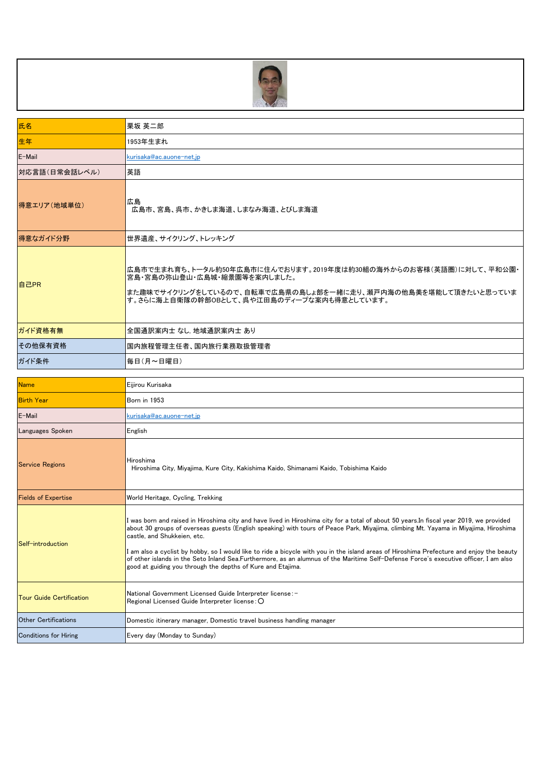

| 氏名                              | 栗坂 英二郎                                                                                                                                                                                                                                                                                                                                                                                                                                                                                                                                                                                                                                                           |
|---------------------------------|------------------------------------------------------------------------------------------------------------------------------------------------------------------------------------------------------------------------------------------------------------------------------------------------------------------------------------------------------------------------------------------------------------------------------------------------------------------------------------------------------------------------------------------------------------------------------------------------------------------------------------------------------------------|
| 生年                              | 1953年生まれ                                                                                                                                                                                                                                                                                                                                                                                                                                                                                                                                                                                                                                                         |
| E-Mail                          | kurisaka@ac.auone-net.jp                                                                                                                                                                                                                                                                                                                                                                                                                                                                                                                                                                                                                                         |
| 対応言語(日常会話レベル)                   | 英語                                                                                                                                                                                                                                                                                                                                                                                                                                                                                                                                                                                                                                                               |
| 得意エリア(地域単位)                     | 広島<br>広島市、宮島、呉市、かきしま海道、しまなみ海道、とびしま海道                                                                                                                                                                                                                                                                                                                                                                                                                                                                                                                                                                                                                             |
| 得意なガイド分野                        | 世界遺産、サイクリング、トレッキング                                                                                                                                                                                                                                                                                                                                                                                                                                                                                                                                                                                                                                               |
| 自己PR                            | 広島市で生まれ育ち、トータル約50年広島市に住んでおります。2019年度は約30組の海外からのお客様(英語圏)に対して、平和公園・<br>宮島・宮島の弥山登山・広島城・縮景園等を案内しました。<br>また趣味でサイクリングをしているので、自転車で広島県の島しょ部を一緒に走り、瀬戸内海の他島美を堪能して頂きたいと思っていま<br>す。さらに海上自衛隊の幹部OBとして、呉や江田島のディープな案内も得意としています。                                                                                                                                                                                                                                                                                                                                                                                                                                                  |
| ガイド資格有無                         | 全国通訳案内士 なし 地域通訳案内士 あり                                                                                                                                                                                                                                                                                                                                                                                                                                                                                                                                                                                                                                            |
| その他保有資格                         | 国内旅程管理主任者、国内旅行業務取扱管理者                                                                                                                                                                                                                                                                                                                                                                                                                                                                                                                                                                                                                                            |
| ガイド条件                           | 毎日(月~日曜日)                                                                                                                                                                                                                                                                                                                                                                                                                                                                                                                                                                                                                                                        |
|                                 |                                                                                                                                                                                                                                                                                                                                                                                                                                                                                                                                                                                                                                                                  |
| <b>Name</b>                     | Eijirou Kurisaka                                                                                                                                                                                                                                                                                                                                                                                                                                                                                                                                                                                                                                                 |
| <b>Birth Year</b>               | <b>Born in 1953</b>                                                                                                                                                                                                                                                                                                                                                                                                                                                                                                                                                                                                                                              |
| E-Mail                          | kurisaka@ac.auone-net.jp                                                                                                                                                                                                                                                                                                                                                                                                                                                                                                                                                                                                                                         |
| Languages Spoken                | English                                                                                                                                                                                                                                                                                                                                                                                                                                                                                                                                                                                                                                                          |
| <b>Service Regions</b>          | Hiroshima<br>Hiroshima City, Miyajima, Kure City, Kakishima Kaido, Shimanami Kaido, Tobishima Kaido                                                                                                                                                                                                                                                                                                                                                                                                                                                                                                                                                              |
| <b>Fields of Expertise</b>      | World Heritage, Cycling, Trekking                                                                                                                                                                                                                                                                                                                                                                                                                                                                                                                                                                                                                                |
| Self-introduction               | I was born and raised in Hiroshima city and have lived in Hiroshima city for a total of about 50 years.In fiscal year 2019, we provided<br>about 30 groups of overseas guests (English speaking) with tours of Peace Park, Miyajima, climbing Mt. Yayama in Miyajima, Hiroshima<br>castle, and Shukkeien, etc.<br>am also a cyclist by hobby, so I would like to ride a bicycle with you in the island areas of Hiroshima Prefecture and enjoy the beauty<br>of other islands in the Seto Inland Sea.Furthermore, as an alumnus of the Maritime Self-Defense Force's executive officer, I am also<br>good at guiding you through the depths of Kure and Etajima. |
| <b>Tour Guide Certification</b> | National Government Licensed Guide Interpreter license: -<br>Regional Licensed Guide Interpreter license: O                                                                                                                                                                                                                                                                                                                                                                                                                                                                                                                                                      |

Conditions for Hiring **Every day (Monday to Sunday)**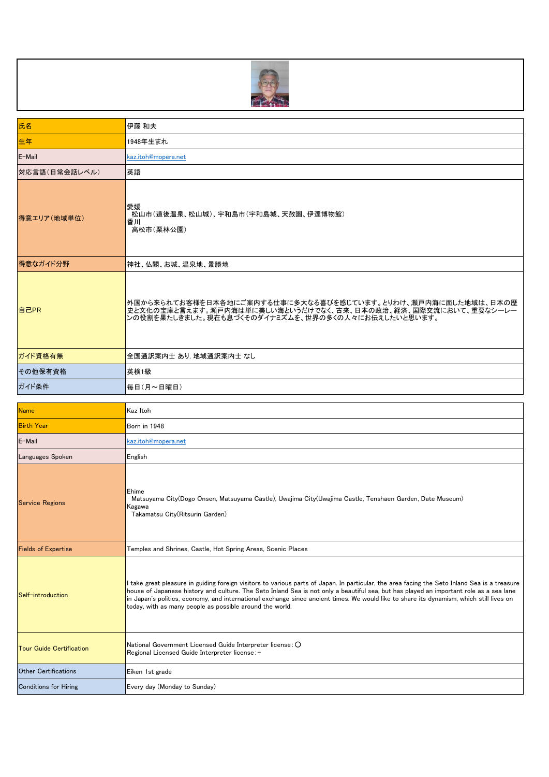

| 氏名                              | 伊藤 和夫                                                                                                                                                                                                                                                                                                                                                                                                                                                                                          |
|---------------------------------|------------------------------------------------------------------------------------------------------------------------------------------------------------------------------------------------------------------------------------------------------------------------------------------------------------------------------------------------------------------------------------------------------------------------------------------------------------------------------------------------|
| 生年                              | 1948年生まれ                                                                                                                                                                                                                                                                                                                                                                                                                                                                                       |
| E-Mail                          | kaz.itoh@mopera.net                                                                                                                                                                                                                                                                                                                                                                                                                                                                            |
| 対応言語(日常会話レベル)                   | 英語                                                                                                                                                                                                                                                                                                                                                                                                                                                                                             |
| 得意エリア(地域単位)                     | 愛媛<br>松山市(道後温泉、松山城)、宇和島市(宇和島城、天赦園、伊達博物館)<br>香川<br>高松市(栗林公園)                                                                                                                                                                                                                                                                                                                                                                                                                                    |
| 得意なガイド分野                        | 神社、仏閣、お城、温泉地、景勝地                                                                                                                                                                                                                                                                                                                                                                                                                                                                               |
| 自己PR                            | 外国から来られてお客様を日本各地にご案内する仕事に多大なる喜びを感じています。とりわけ、瀬戸内海に面した地域は、日本の歴<br>史と文化の宝庫と言えます。瀬戸内海は単に美しい海というだけでなく、古来、日本の政治、経済、国際交流において、重要なシーレー<br>ンの役割を果たしきました。現在も息づくそのダイナミズムを、世界の多くの人々にお伝えしたいと思います。                                                                                                                                                                                                                                                                                                            |
| ガイド資格有無                         | 全国通訳案内士 あり, 地域通訳案内士 なし                                                                                                                                                                                                                                                                                                                                                                                                                                                                         |
| その他保有資格                         | 英検1級                                                                                                                                                                                                                                                                                                                                                                                                                                                                                           |
| ガイド条件                           | 毎日(月~日曜日)                                                                                                                                                                                                                                                                                                                                                                                                                                                                                      |
| <b>Name</b>                     | Kaz Itoh                                                                                                                                                                                                                                                                                                                                                                                                                                                                                       |
| <b>Birth Year</b>               | Born in 1948                                                                                                                                                                                                                                                                                                                                                                                                                                                                                   |
| E-Mail                          | kaz.itoh@mopera.net                                                                                                                                                                                                                                                                                                                                                                                                                                                                            |
| Languages Spoken                | English                                                                                                                                                                                                                                                                                                                                                                                                                                                                                        |
| <b>Service Regions</b>          | Ehime<br>Matsuyama City(Dogo Onsen, Matsuyama Castle), Uwajima City(Uwajima Castle, Tenshaen Garden, Date Museum)<br>Kagawa<br>Takamatsu City (Ritsurin Garden)                                                                                                                                                                                                                                                                                                                                |
| <b>Fields of Expertise</b>      | Temples and Shrines, Castle, Hot Spring Areas, Scenic Places                                                                                                                                                                                                                                                                                                                                                                                                                                   |
| Self-introduction               | I take great pleasure in guiding foreign visitors to various parts of Japan. In particular, the area facing the Seto Inland Sea is a treasure<br>house of Japanese history and culture. The Seto Inland Sea is not only a beautiful sea, but has played an important role as a sea lane<br>in Japan's politics, economy, and international exchange since ancient times. We would like to share its dynamism, which still lives on<br>today, with as many people as possible around the world. |
| <b>Tour Guide Certification</b> | National Government Licensed Guide Interpreter license: O<br>Regional Licensed Guide Interpreter license: -                                                                                                                                                                                                                                                                                                                                                                                    |
| <b>Other Certifications</b>     | Eiken 1st grade                                                                                                                                                                                                                                                                                                                                                                                                                                                                                |
| <b>Conditions for Hiring</b>    | Every day (Monday to Sunday)                                                                                                                                                                                                                                                                                                                                                                                                                                                                   |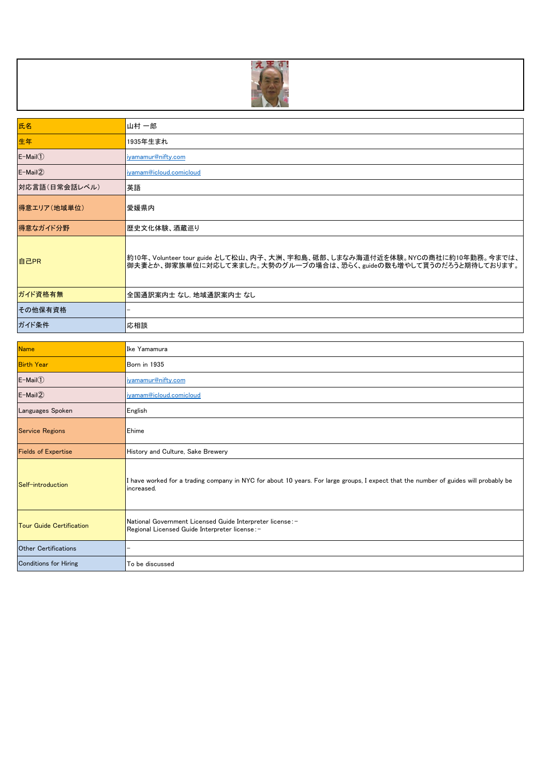

| 氏名                | 山村 一郎                                                                                                                                             |
|-------------------|---------------------------------------------------------------------------------------------------------------------------------------------------|
| 生年                | 1935年生まれ                                                                                                                                          |
| $E-Mail(1)$       | iyamamur@nifty.com                                                                                                                                |
| $E-Mail(2)$       | iyamam@icloud.comicloud                                                                                                                           |
| 対応言語(日常会話レベル)     | 英語                                                                                                                                                |
| 得意エリア(地域単位)       | 愛媛県内                                                                                                                                              |
| 得意なガイド分野          | 歴史文化体験、酒蔵巡り                                                                                                                                       |
| 自己PR              | 約10年、Volunteer tour guide として松山、内子、大洲、宇和島、砥部、しまなみ海道付近を体験。NYCの商社に約10年勤務。今までは、<br>御夫妻とか、御家族単位に対応して来ました。大勢のグループの場合は、恐らく、guideの数も増やして貰うのだろうと期待しております。 |
| ガイド資格有無           | 全国通訳案内士 なし、地域通訳案内士 なし                                                                                                                             |
| その他保有資格           |                                                                                                                                                   |
| ガイド条件             | 応相談                                                                                                                                               |
|                   |                                                                                                                                                   |
| <b>Name</b>       | Ike Yamamura                                                                                                                                      |
| <b>Birth Year</b> | Born in 1935                                                                                                                                      |
| $E-Mail(1)$       | iyamamur@nifty.com                                                                                                                                |
|                   |                                                                                                                                                   |

| $E-Mail(1)$                     | iyamamur@nifty.com                                                                                                                                 |
|---------------------------------|----------------------------------------------------------------------------------------------------------------------------------------------------|
| $E-Mail(2)$                     | iyamam@icloud.comicloud                                                                                                                            |
| Languages Spoken                | English                                                                                                                                            |
| <b>Service Regions</b>          | Ehime                                                                                                                                              |
| <b>Fields of Expertise</b>      | History and Culture, Sake Brewery                                                                                                                  |
| Self-introduction               | I have worked for a trading company in NYC for about 10 years. For large groups, I expect that the number of guides will probably be<br>increased. |
| <b>Tour Guide Certification</b> | National Government Licensed Guide Interpreter license:-<br>Regional Licensed Guide Interpreter license:-                                          |
| <b>Other Certifications</b>     |                                                                                                                                                    |
| <b>Conditions for Hiring</b>    | To be discussed                                                                                                                                    |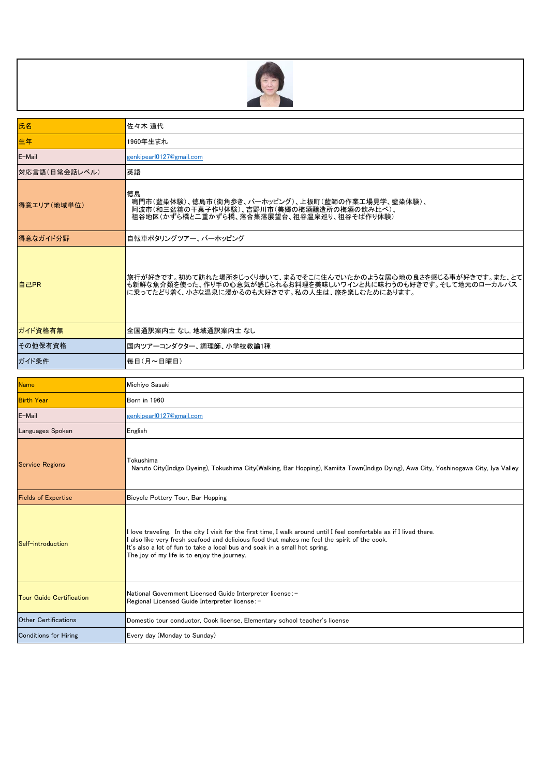

| 氏名                              | 佐々木 道代                                                                                                                                                                                                                                                                                                                                             |
|---------------------------------|----------------------------------------------------------------------------------------------------------------------------------------------------------------------------------------------------------------------------------------------------------------------------------------------------------------------------------------------------|
| 生年                              | 1960年生まれ                                                                                                                                                                                                                                                                                                                                           |
| E-Mail                          | genkipearl0127@gmail.com                                                                                                                                                                                                                                                                                                                           |
| 対応言語(日常会話レベル)                   | 英語                                                                                                                                                                                                                                                                                                                                                 |
| 得意エリア(地域単位)                     | 徳島<br>鳴門市(藍染体験)、徳島市(街角歩き、バーホッピング)、上板町(藍師の作業工場見学、藍染体験)、<br>阿波市(和三盆糖の干菓子作り体験)、吉野川市(美郷の梅酒醸造所の梅酒の飲み比べ)、<br>祖谷地区(かずら橋と二重かずら橋、落合集落展望台、祖谷温泉巡り、祖谷そば作り体験)                                                                                                                                                                                                   |
| 得意なガイド分野                        | 自転車ポタリングツアー、バーホッピング                                                                                                                                                                                                                                                                                                                                |
| 自己PR                            | 旅行が好きです。初めて訪れた場所をじっくり歩いて、まるでそこに住んでいたかのような居心地の良さを感じる事が好きです。また、とて <br> も新鮮な魚介類を使った、作り手の心意気が感じられるお料理を美味しいワインと共に味わうのも好きです。そして地元のローカルバス<br>に乗ってたどり着く、小さな温泉に浸かるのも大好きです。私の人生は、旅を楽しむためにあります。                                                                                                                                                               |
| ガイド資格有無                         | 全国通訳案内士 なし. 地域通訳案内士 なし                                                                                                                                                                                                                                                                                                                             |
| その他保有資格                         | 国内ツアーコンダクター、調理師、小学校教諭1種                                                                                                                                                                                                                                                                                                                            |
| ガイド条件                           | 毎日(月~日曜日)                                                                                                                                                                                                                                                                                                                                          |
| <b>Name</b>                     | Michiyo Sasaki                                                                                                                                                                                                                                                                                                                                     |
| <b>Birth Year</b>               | Born in 1960                                                                                                                                                                                                                                                                                                                                       |
| E-Mail                          | genkipearl0127@gmail.com                                                                                                                                                                                                                                                                                                                           |
| Languages Spoken                | English                                                                                                                                                                                                                                                                                                                                            |
| <b>Service Regions</b>          | Tokushima<br>Naruto City(Indigo Dyeing), Tokushima City(Walking, Bar Hopping), Kamiita Town(Indigo Dying), Awa City, Yoshinogawa City, Iya Valley                                                                                                                                                                                                  |
| <b>Fields of Expertise</b>      | Bicycle Pottery Tour, Bar Hopping                                                                                                                                                                                                                                                                                                                  |
| Self-introduction               | I love traveling. In the city I visit for the first time, I walk around until I feel comfortable as if I lived there.<br>I also like very fresh seafood and delicious food that makes me feel the spirit of the cook.<br>It's also a lot of fun to take a local bus and soak in a small hot spring.<br>The joy of my life is to enjoy the journey. |
| <b>Tour Guide Certification</b> | National Government Licensed Guide Interpreter license:-<br>Regional Licensed Guide Interpreter license: -                                                                                                                                                                                                                                         |
| <b>Other Certifications</b>     | Domestic tour conductor, Cook license, Elementary school teacher's license                                                                                                                                                                                                                                                                         |
| <b>Conditions for Hiring</b>    | Every day (Monday to Sunday)                                                                                                                                                                                                                                                                                                                       |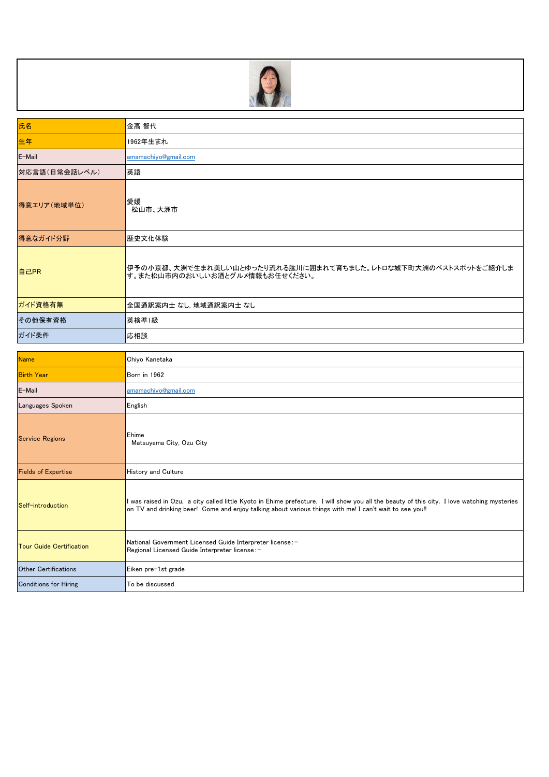

| 氏名            | 金高 智代                                                                                           |
|---------------|-------------------------------------------------------------------------------------------------|
| 生年            | 1962年生まれ                                                                                        |
| E-Mail        | amamachiyo@gmail.com                                                                            |
| 対応言語(日常会話レベル) | 英語                                                                                              |
| 得意エリア(地域単位)   | 愛媛<br>松山市、大洲市                                                                                   |
| 得意なガイド分野      | 歴史文化体験                                                                                          |
| 自己PR          | 伊予の小京都、大洲で生まれ美しい山とゆったり流れる肱川に囲まれて育ちました。レトロな城下町大洲のベストスポットをご紹介しま<br>す。また松山市内のおいしいお酒とグルメ情報もお任せください。 |
| ガイド資格有無       | 全国通訳案内士 なし, 地域通訳案内士 なし                                                                          |
| その他保有資格       | 英検準1級                                                                                           |
| ガイド条件         | 応相談                                                                                             |

| <b>Name</b>                     | Chiyo Kanetaka                                                                                                                                                                                                                                         |
|---------------------------------|--------------------------------------------------------------------------------------------------------------------------------------------------------------------------------------------------------------------------------------------------------|
| <b>Birth Year</b>               | Born in 1962                                                                                                                                                                                                                                           |
| E-Mail                          | amamachiyo@gmail.com                                                                                                                                                                                                                                   |
| Languages Spoken                | English                                                                                                                                                                                                                                                |
| <b>Service Regions</b>          | Ehime<br>Matsuyama City, Ozu City                                                                                                                                                                                                                      |
| <b>Fields of Expertise</b>      | <b>History and Culture</b>                                                                                                                                                                                                                             |
| Self-introduction               | I was raised in Ozu, a city called little Kyoto in Ehime prefecture. I will show you all the beauty of this city. I love watching mysteries<br>on TV and drinking beer! Come and enjoy talking about various things with me! I can't wait to see you!! |
| <b>Tour Guide Certification</b> | National Government Licensed Guide Interpreter license:-<br>Regional Licensed Guide Interpreter license:-                                                                                                                                              |
| <b>Other Certifications</b>     | Eiken pre-1st grade                                                                                                                                                                                                                                    |
| <b>Conditions for Hiring</b>    | To be discussed                                                                                                                                                                                                                                        |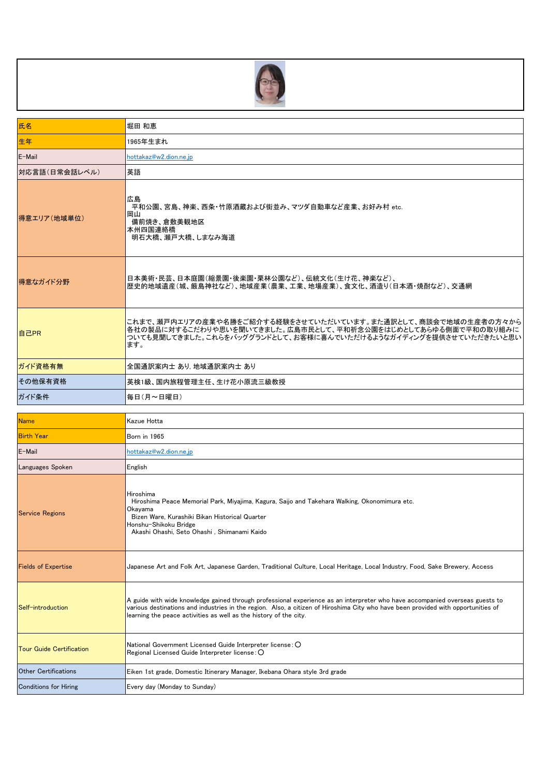

| 氏名                              | 堀田 和恵                                                                                                                                                                                                                                                                                                                                  |
|---------------------------------|----------------------------------------------------------------------------------------------------------------------------------------------------------------------------------------------------------------------------------------------------------------------------------------------------------------------------------------|
| 生年                              | 1965年生まれ                                                                                                                                                                                                                                                                                                                               |
| E-Mail                          | hottakaz@w2.dion.ne.jp                                                                                                                                                                                                                                                                                                                 |
| 対応言語(日常会話レベル)                   | 英語                                                                                                                                                                                                                                                                                                                                     |
| 得意エリア(地域単位)                     | 広島<br>平和公園、宮島、神楽、西条・竹原酒蔵および街並み、マツダ自動車など産業、お好み村 etc.<br>岡山<br>備前焼き、倉敷美観地区<br>本州四国連絡橋<br>明石大橋、瀬戸大橋、しまなみ海道                                                                                                                                                                                                                                |
| 得意なガイド分野                        | 日本美術・民芸、日本庭園(縮景園・後楽園・栗林公園など)、伝統文化(生け花、神楽など)、<br>歴史的地域遺産(城、厳島神社など)、地域産業(農業、工業、地場産業)、食文化、酒造り(日本酒・焼酎など)、交通網                                                                                                                                                                                                                               |
| 自己PR                            | これまで、瀬戸内エリアの産業や名勝をご紹介する経験をさせていただいています。また通訳として、商談会で地域の生産者の方々から<br>各社の製品に対するこだわりや思いを聞いてきました。広島市民として、平和祈念公園をはじめとしてあらゆる側面で平和の取り組みに<br>ついても見聞してきました。これらをバッググランドとして、お客様に喜んでいただけるようなガイディングを提供させていただきたいと思い<br>ます。                                                                                                                              |
| ガイド資格有無                         | 全国通訳案内士 あり 地域通訳案内士 あり                                                                                                                                                                                                                                                                                                                  |
| その他保有資格                         | 英検1級、国内旅程管理主任、生け花小原流三級教授                                                                                                                                                                                                                                                                                                               |
| ガイド条件                           | 毎日(月~日曜日)                                                                                                                                                                                                                                                                                                                              |
|                                 |                                                                                                                                                                                                                                                                                                                                        |
| <b>Name</b>                     | Kazue Hotta                                                                                                                                                                                                                                                                                                                            |
| <b>Birth Year</b>               | Born in 1965                                                                                                                                                                                                                                                                                                                           |
| E-Mail                          | hottakaz@w2.dion.ne.jp                                                                                                                                                                                                                                                                                                                 |
| Languages Spoken                | English                                                                                                                                                                                                                                                                                                                                |
| <b>Service Regions</b>          | Hiroshima<br>Hiroshima Peace Memorial Park, Miyajima, Kagura, Saijo and Takehara Walking, Okonomimura etc.<br>Okayama<br>Bizen Ware, Kurashiki Bikan Historical Quarter<br>Honshu-Shikoku Bridge<br>Akashi Ohashi, Seto Ohashi , Shimanami Kaido                                                                                       |
| <b>Fields of Expertise</b>      | Japanese Art and Folk Art, Japanese Garden, Traditional Culture, Local Heritage, Local Industry, Food, Sake Brewery, Access                                                                                                                                                                                                            |
| Self-introduction               | A guide with wide knowledge gained through professional experience as an interpreter who have accompanied overseas guests to<br>various destinations and industries in the region. Also, a citizen of Hiroshima City who have been provided with opportunities of<br>learning the peace activities as well as the history of the city. |
| <b>Tour Guide Certification</b> | National Government Licensed Guide Interpreter license: O<br>Regional Licensed Guide Interpreter license: O                                                                                                                                                                                                                            |
| <b>Other Certifications</b>     | Eiken 1st grade, Domestic Itinerary Manager, Ikebana Ohara style 3rd grade                                                                                                                                                                                                                                                             |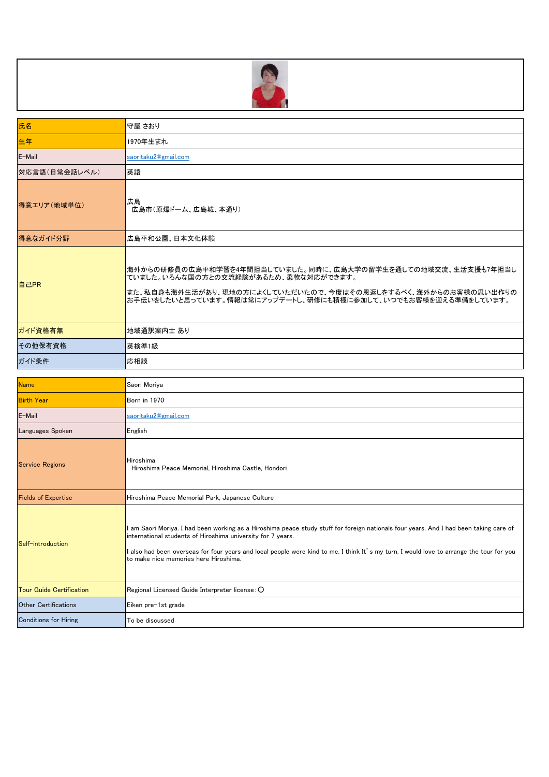

| 氏名                              | 守屋 さおり                                                                                                                                                                                                                                                                                                                                                                                     |
|---------------------------------|--------------------------------------------------------------------------------------------------------------------------------------------------------------------------------------------------------------------------------------------------------------------------------------------------------------------------------------------------------------------------------------------|
| 生年                              | 1970年生まれ                                                                                                                                                                                                                                                                                                                                                                                   |
| E-Mail                          | saoritaku2@gmail.com                                                                                                                                                                                                                                                                                                                                                                       |
| 対応言語(日常会話レベル)                   | 英語                                                                                                                                                                                                                                                                                                                                                                                         |
| 得意エリア(地域単位)                     | 広島<br>広島市(原爆ドーム、広島城、本通り)                                                                                                                                                                                                                                                                                                                                                                   |
| 得意なガイド分野                        | 広島平和公園、日本文化体験                                                                                                                                                                                                                                                                                                                                                                              |
| 自己PR                            | 海外からの研修員の広島平和学習を4年間担当していました。同時に、広島大学の留学生を通しての地域交流、生活支援も7年担当し<br>ていました。いろんな国の方との交流経験があるため、柔軟な対応ができます。<br> また、私自身も海外生活があり、現地の方によくしていただいたので、今度はその恩返しをするべく、海外からのお客様の思い出作りの<br>お手伝いをしたいと思っています。情報は常にアップデートし、研修にも積極に参加して、いつでもお客様を迎える準備をしています。                                                                                                                                                    |
| ガイド資格有無                         | 地域通訳案内士 あり                                                                                                                                                                                                                                                                                                                                                                                 |
| その他保有資格                         | 英検準1級                                                                                                                                                                                                                                                                                                                                                                                      |
| ガイド条件                           | 応相談                                                                                                                                                                                                                                                                                                                                                                                        |
|                                 |                                                                                                                                                                                                                                                                                                                                                                                            |
|                                 |                                                                                                                                                                                                                                                                                                                                                                                            |
| <b>Name</b>                     | Saori Moriya                                                                                                                                                                                                                                                                                                                                                                               |
| <b>Birth Year</b><br>E-Mail     | Born in 1970<br>saoritaku2@gmail.com                                                                                                                                                                                                                                                                                                                                                       |
| Languages Spoken                | English                                                                                                                                                                                                                                                                                                                                                                                    |
| <b>Service Regions</b>          | Hiroshima<br>Hiroshima Peace Memorial, Hiroshima Castle, Hondori                                                                                                                                                                                                                                                                                                                           |
| <b>Fields of Expertise</b>      | Hiroshima Peace Memorial Park, Japanese Culture                                                                                                                                                                                                                                                                                                                                            |
| Self-introduction               | I am Saori Moriya. I had been working as a Hiroshima peace study stuff for foreign nationals four years. And I had been taking care of<br>international students of Hiroshima university for 7 years.<br>I also had been overseas for four years and local people were kind to me. I think It's my turn. I would love to arrange the tour for you<br>to make nice memories here Hiroshima. |
| <b>Tour Guide Certification</b> | Regional Licensed Guide Interpreter license: O                                                                                                                                                                                                                                                                                                                                             |
| <b>Other Certifications</b>     | Eiken pre-1st grade                                                                                                                                                                                                                                                                                                                                                                        |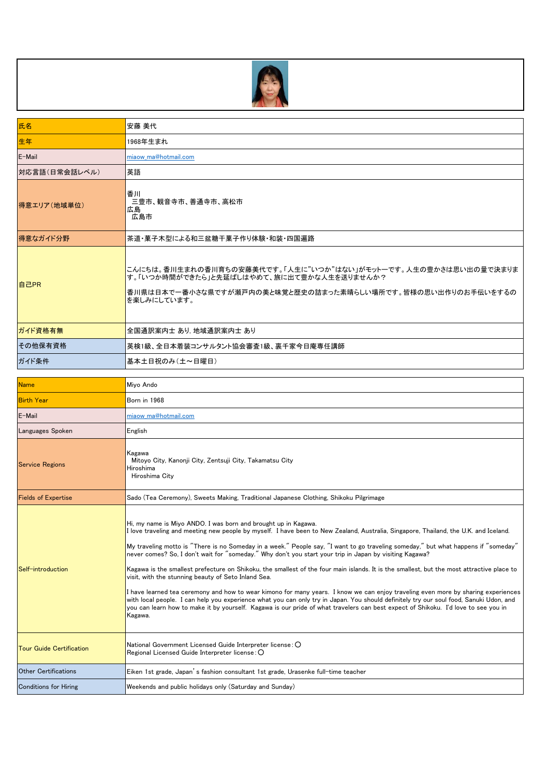

| 氏名                              | 安藤 美代                                                                                                                                                                                                                                                                                                                                                                                                                                                                                                                                                                                                                                                                                                                                                                                                                                                                                                                                                                                                                                                                                       |
|---------------------------------|---------------------------------------------------------------------------------------------------------------------------------------------------------------------------------------------------------------------------------------------------------------------------------------------------------------------------------------------------------------------------------------------------------------------------------------------------------------------------------------------------------------------------------------------------------------------------------------------------------------------------------------------------------------------------------------------------------------------------------------------------------------------------------------------------------------------------------------------------------------------------------------------------------------------------------------------------------------------------------------------------------------------------------------------------------------------------------------------|
| 生年                              | 1968年生まれ                                                                                                                                                                                                                                                                                                                                                                                                                                                                                                                                                                                                                                                                                                                                                                                                                                                                                                                                                                                                                                                                                    |
| E-Mail                          | miaow ma@hotmail.com                                                                                                                                                                                                                                                                                                                                                                                                                                                                                                                                                                                                                                                                                                                                                                                                                                                                                                                                                                                                                                                                        |
| 対応言語(日常会話レベル)                   | 英語                                                                                                                                                                                                                                                                                                                                                                                                                                                                                                                                                                                                                                                                                                                                                                                                                                                                                                                                                                                                                                                                                          |
| 得意エリア(地域単位)                     | 香川<br>三豊市、観音寺市、善通寺市、高松市<br>広島<br>広島市                                                                                                                                                                                                                                                                                                                                                                                                                                                                                                                                                                                                                                                                                                                                                                                                                                                                                                                                                                                                                                                        |
| 得意なガイド分野                        | 茶道・菓子木型による和三盆糖干菓子作り体験・和装・四国遍路                                                                                                                                                                                                                                                                                                                                                                                                                                                                                                                                                                                                                                                                                                                                                                                                                                                                                                                                                                                                                                                               |
| 自己PR                            | こんにちは。香川生まれの香川育ちの安藤美代です。「人生に"いつか"はない」がモットーです。人生の豊かさは思い出の量で決まりま<br>す。「いつか時間ができたら」と先延ばしはやめて、旅に出て豊かな人生を送りませんか?<br>香川県は日本で一番小さな県ですが瀬戸内の美と味覚と歴史の詰まった素晴らしい場所です。皆様の思い出作りのお手伝いをするの<br>を楽しみにしています。                                                                                                                                                                                                                                                                                                                                                                                                                                                                                                                                                                                                                                                                                                                                                                                                                                                                                                   |
| ガイド資格有無                         | 全国通訳案内士 あり 地域通訳案内士 あり                                                                                                                                                                                                                                                                                                                                                                                                                                                                                                                                                                                                                                                                                                                                                                                                                                                                                                                                                                                                                                                                       |
| その他保有資格                         | 英検1級、全日本着装コンサルタント協会審査1級、裏千家今日庵専任講師                                                                                                                                                                                                                                                                                                                                                                                                                                                                                                                                                                                                                                                                                                                                                                                                                                                                                                                                                                                                                                                          |
| ガイド条件                           | 基本土日祝のみ(土~日曜日)                                                                                                                                                                                                                                                                                                                                                                                                                                                                                                                                                                                                                                                                                                                                                                                                                                                                                                                                                                                                                                                                              |
| <b>Name</b>                     | Miyo Ando                                                                                                                                                                                                                                                                                                                                                                                                                                                                                                                                                                                                                                                                                                                                                                                                                                                                                                                                                                                                                                                                                   |
| <b>Birth Year</b>               |                                                                                                                                                                                                                                                                                                                                                                                                                                                                                                                                                                                                                                                                                                                                                                                                                                                                                                                                                                                                                                                                                             |
|                                 | Born in 1968                                                                                                                                                                                                                                                                                                                                                                                                                                                                                                                                                                                                                                                                                                                                                                                                                                                                                                                                                                                                                                                                                |
| E-Mail                          | miaow_ma@hotmail.com                                                                                                                                                                                                                                                                                                                                                                                                                                                                                                                                                                                                                                                                                                                                                                                                                                                                                                                                                                                                                                                                        |
| Languages Spoken                | English                                                                                                                                                                                                                                                                                                                                                                                                                                                                                                                                                                                                                                                                                                                                                                                                                                                                                                                                                                                                                                                                                     |
| <b>Service Regions</b>          | Kagawa<br>Mitoyo City, Kanonji City, Zentsuji City, Takamatsu City<br>Hiroshima<br>Hiroshima City                                                                                                                                                                                                                                                                                                                                                                                                                                                                                                                                                                                                                                                                                                                                                                                                                                                                                                                                                                                           |
| <b>Fields of Expertise</b>      | Sado (Tea Ceremony), Sweets Making, Traditional Japanese Clothing, Shikoku Pilgrimage                                                                                                                                                                                                                                                                                                                                                                                                                                                                                                                                                                                                                                                                                                                                                                                                                                                                                                                                                                                                       |
| Self-introduction               | Hi, my name is Miyo ANDO. I was born and brought up in Kagawa.<br>I love traveling and meeting new people by myself. I have been to New Zealand, Australia, Singapore, Thailand, the U.K. and Iceland.<br>My traveling motto is "There is no Someday in a week." People say, "I want to go traveling someday," but what happens if "someday"<br>never comes? So, I don't wait for "someday." Why don't you start your trip in Japan by visiting Kagawa?<br>Kagawa is the smallest prefecture on Shikoku, the smallest of the four main islands. It is the smallest, but the most attractive place to<br>visit, with the stunning beauty of Seto Inland Sea.<br>I have learned tea ceremony and how to wear kimono for many years. I know we can enjoy traveling even more by sharing experiences<br>with local people. I can help you experience what you can only try in Japan. You should definitely try our soul food, Sanuki Udon, and<br>you can learn how to make it by yourself. Kagawa is our pride of what travelers can best expect of Shikoku. I'd love to see you in<br>Kagawa. |
| <b>Tour Guide Certification</b> | National Government Licensed Guide Interpreter license: O<br>Regional Licensed Guide Interpreter license: O                                                                                                                                                                                                                                                                                                                                                                                                                                                                                                                                                                                                                                                                                                                                                                                                                                                                                                                                                                                 |
| <b>Other Certifications</b>     | Eiken 1st grade, Japan's fashion consultant 1st grade, Urasenke full-time teacher                                                                                                                                                                                                                                                                                                                                                                                                                                                                                                                                                                                                                                                                                                                                                                                                                                                                                                                                                                                                           |
| <b>Conditions for Hiring</b>    | Weekends and public holidays only (Saturday and Sunday)                                                                                                                                                                                                                                                                                                                                                                                                                                                                                                                                                                                                                                                                                                                                                                                                                                                                                                                                                                                                                                     |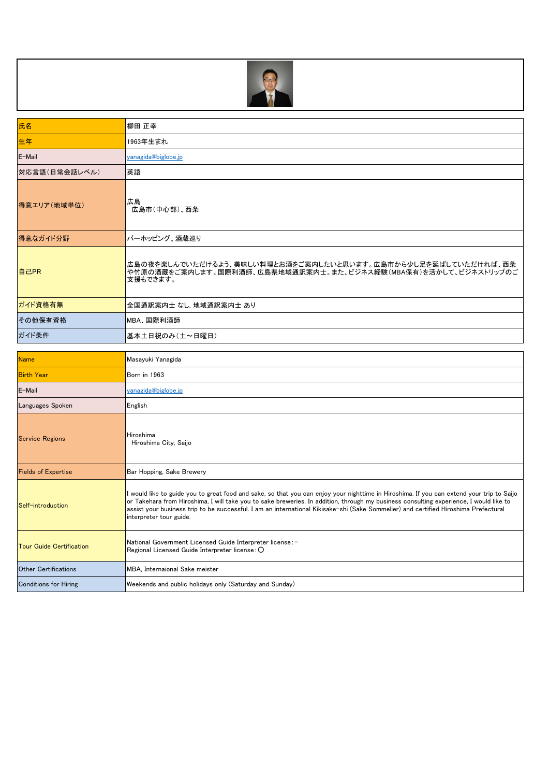

| 氏名            | 柳田 正幸                                                                                                                                        |
|---------------|----------------------------------------------------------------------------------------------------------------------------------------------|
| 生年            | 1963年生まれ                                                                                                                                     |
| E-Mail        | yanagida@biglobe.jp                                                                                                                          |
| 対応言語(日常会話レベル) | 英語                                                                                                                                           |
| 得意エリア(地域単位)   | 広島<br>広島市(中心部)、西条                                                                                                                            |
| 得意なガイド分野      | バーホッピング、酒蔵巡り                                                                                                                                 |
| 自己PR          | 広島の夜を楽しんでいただけるよう、美味しい料理とお酒をご案内したいと思います。広島市から少し足を延ばしていただければ、西条<br>や竹原の酒蔵をご案内します。国際利酒師、広島県地域通訳案内士。また、ビジネス経験(MBA保有)を活かして、ビジネストリップのご<br>支援もできます。 |
| ガイド資格有無       | 全国通訳案内士 なし. 地域通訳案内士 あり                                                                                                                       |
| その他保有資格       | <b> MBA、国際利酒師</b>                                                                                                                            |
| ガイド条件         | 基本土日祝のみ(土~日曜日)                                                                                                                               |

| <b>Name</b>                     | Masayuki Yanagida                                                                                                                                                                                                                                                                                                                                                                                                                                     |
|---------------------------------|-------------------------------------------------------------------------------------------------------------------------------------------------------------------------------------------------------------------------------------------------------------------------------------------------------------------------------------------------------------------------------------------------------------------------------------------------------|
| <b>Birth Year</b>               | Born in 1963                                                                                                                                                                                                                                                                                                                                                                                                                                          |
| E-Mail                          | yanagida@biglobe.jp                                                                                                                                                                                                                                                                                                                                                                                                                                   |
| Languages Spoken                | English                                                                                                                                                                                                                                                                                                                                                                                                                                               |
| <b>Service Regions</b>          | Hiroshima<br>Hiroshima City, Saijo                                                                                                                                                                                                                                                                                                                                                                                                                    |
| <b>Fields of Expertise</b>      | Bar Hopping, Sake Brewery                                                                                                                                                                                                                                                                                                                                                                                                                             |
| Self-introduction               | I would like to guide you to great food and sake, so that you can enjoy your nighttime in Hiroshima. If you can extend your trip to Saijo<br>or Takehara from Hiroshima, I will take you to sake breweries. In addition, through my business consulting experience, I would like to<br>assist your business trip to be successful. I am an international Kikisake-shi (Sake Sommelier) and certified Hiroshima Prefectural<br>interpreter tour guide. |
| <b>Tour Guide Certification</b> | National Government Licensed Guide Interpreter license: -<br>Regional Licensed Guide Interpreter license: O                                                                                                                                                                                                                                                                                                                                           |
| Other Certifications            | MBA, Internaional Sake meister                                                                                                                                                                                                                                                                                                                                                                                                                        |
| Conditions for Hiring           | Weekends and public holidays only (Saturday and Sunday)                                                                                                                                                                                                                                                                                                                                                                                               |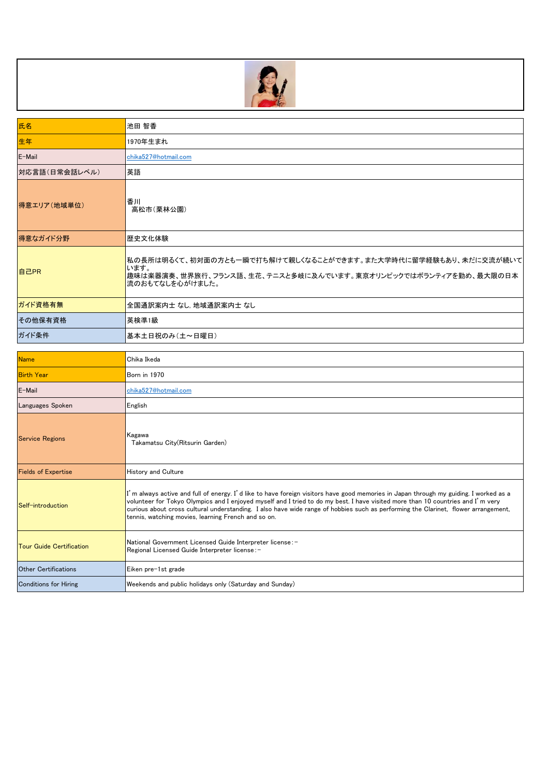

| 氏名            | 池田 智香                                                                                                                                                        |
|---------------|--------------------------------------------------------------------------------------------------------------------------------------------------------------|
| 生年            | 1970年生まれ                                                                                                                                                     |
| E-Mail        | chika527@hotmail.com                                                                                                                                         |
| 対応言語(日常会話レベル) | 英語                                                                                                                                                           |
| 得意エリア(地域単位)   | 香川<br>高松市(栗林公園)                                                                                                                                              |
| 得意なガイド分野      | 歴史文化体験                                                                                                                                                       |
| 自己PR          | 私の長所は明るくて、初対面の方とも一瞬で打ち解けて親しくなることができます。また大学時代に留学経験もあり、未だに交流が続いて <br>います。<br>趣味は楽器演奏、世界旅行、フランス語、生花、テニスと多岐に及んでいます。東京オリンピックではボランティアを勤め、最大限の日本<br>流のおもてなしを心がけました。 |
| ガイド資格有無       | 全国通訳案内士 なし 地域通訳案内士 なし                                                                                                                                        |
| その他保有資格       | 英検準1級                                                                                                                                                        |
| ガイド条件         | 基本土日祝のみ(土~日曜日)                                                                                                                                               |

| <b>Name</b>                     | Chika Ikeda                                                                                                                                                                                                                                                                                                                                                                                                                                                           |
|---------------------------------|-----------------------------------------------------------------------------------------------------------------------------------------------------------------------------------------------------------------------------------------------------------------------------------------------------------------------------------------------------------------------------------------------------------------------------------------------------------------------|
| <b>Birth Year</b>               | <b>Born in 1970</b>                                                                                                                                                                                                                                                                                                                                                                                                                                                   |
| E-Mail                          | chika527@hotmail.com                                                                                                                                                                                                                                                                                                                                                                                                                                                  |
| Languages Spoken                | English                                                                                                                                                                                                                                                                                                                                                                                                                                                               |
| <b>Service Regions</b>          | Kagawa<br>Takamatsu City (Ritsurin Garden)                                                                                                                                                                                                                                                                                                                                                                                                                            |
| <b>Fields of Expertise</b>      | History and Culture                                                                                                                                                                                                                                                                                                                                                                                                                                                   |
| Self-introduction               | I'm always active and full of energy. I'd like to have foreign visitors have good memories in Japan through my guiding. I worked as a<br>volunteer for Tokyo Olympics and I enjoyed myself and I tried to do my best. I have visited more than 10 countries and I'm very<br>curious about cross cultural understanding. I also have wide range of hobbies such as performing the Clarinet, flower arrangement,<br>tennis, watching movies, learning French and so on. |
| <b>Tour Guide Certification</b> | National Government Licensed Guide Interpreter license: -<br>Regional Licensed Guide Interpreter license:-                                                                                                                                                                                                                                                                                                                                                            |
| <b>Other Certifications</b>     | Eiken pre-1st grade                                                                                                                                                                                                                                                                                                                                                                                                                                                   |
| <b>Conditions for Hiring</b>    | Weekends and public holidays only (Saturday and Sunday)                                                                                                                                                                                                                                                                                                                                                                                                               |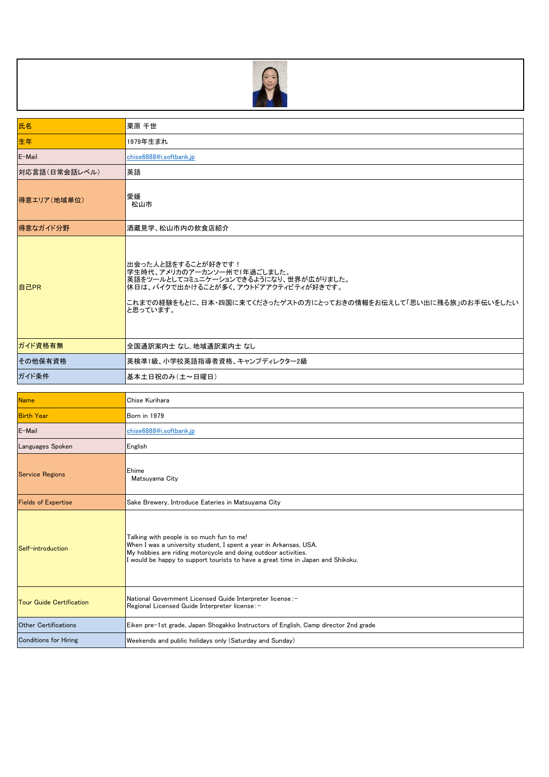

| 氏名                              | 栗原 千世                                                                                                                                                                                                                                                               |
|---------------------------------|---------------------------------------------------------------------------------------------------------------------------------------------------------------------------------------------------------------------------------------------------------------------|
| 生年                              | 1979年生まれ                                                                                                                                                                                                                                                            |
| E-Mail                          | chise6888@i.softbank.jp                                                                                                                                                                                                                                             |
| 対応言語(日常会話レベル)                   | 英語                                                                                                                                                                                                                                                                  |
| 得意エリア(地域単位)                     | 愛媛<br>松山市                                                                                                                                                                                                                                                           |
| 得意なガイド分野                        | 酒蔵見学、松山市内の飲食店紹介                                                                                                                                                                                                                                                     |
| 自己PR                            | 出会った人と話をすることが好きです!<br>学生時代、アメリカのアーカンソー州で1年過ごしました。<br>英語をツールとしてコミュニケーションできるようになり、世界が広がりました。<br>休日は、バイクで出かけることが多く、アウトドアアクティビティが好きです。<br>これまでの経験をもとに、日本・四国に来てくださったゲストの方にとっておきの情報をお伝えして「思い出に残る旅」のお手伝いをしたい<br>と思っています。                                                   |
| ガイド資格有無                         | 全国通訳案内士 なし、地域通訳案内士 なし                                                                                                                                                                                                                                               |
| その他保有資格                         | 英検準1級、小学校英語指導者資格、キャンプディレクター2級                                                                                                                                                                                                                                       |
| ガイド条件                           | 基本土日祝のみ (土~日曜日)                                                                                                                                                                                                                                                     |
| <b>Name</b>                     | Chise Kurihara                                                                                                                                                                                                                                                      |
| <b>Birth Year</b>               | Born in 1979                                                                                                                                                                                                                                                        |
| E-Mail                          | chise6888@i.softbank.jp                                                                                                                                                                                                                                             |
| Languages Spoken                | English                                                                                                                                                                                                                                                             |
|                                 |                                                                                                                                                                                                                                                                     |
| <b>Service Regions</b>          | Ehime<br>Matsuyama City                                                                                                                                                                                                                                             |
| <b>Fields of Expertise</b>      | Sake Brewery, Introduce Eateries in Matsuyama City                                                                                                                                                                                                                  |
| Self-introduction               | Talking with people is so much fun to me!<br>When I was a university student, I spent a year in Arkansas, USA.<br>My hobbies are riding motorcycle and doing outdoor activities.<br>I would be happy to support tourists to have a great time in Japan and Shikoku. |
| <b>Tour Guide Certification</b> | National Government Licensed Guide Interpreter license: -<br>Regional Licensed Guide Interpreter license: -                                                                                                                                                         |
| <b>Other Certifications</b>     | Eiken pre-1st grade, Japan Shogakko Instructors of English, Camp director 2nd grade                                                                                                                                                                                 |
| <b>Conditions for Hiring</b>    | Weekends and public holidays only (Saturday and Sunday)                                                                                                                                                                                                             |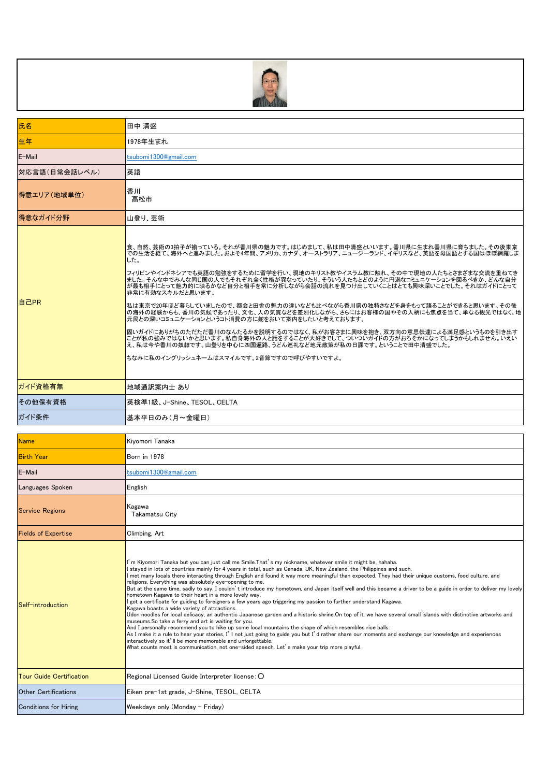

| 氏名                              | 田中 清盛                                                                                                                                                                                                                                                                                                                                                                                                                                                                                                                                                                                                                                                                                                                                                                                                                                                                                                                                                                                                                                                                                                                                                                                                                                                                                                                                                                                                                                                                                                            |
|---------------------------------|------------------------------------------------------------------------------------------------------------------------------------------------------------------------------------------------------------------------------------------------------------------------------------------------------------------------------------------------------------------------------------------------------------------------------------------------------------------------------------------------------------------------------------------------------------------------------------------------------------------------------------------------------------------------------------------------------------------------------------------------------------------------------------------------------------------------------------------------------------------------------------------------------------------------------------------------------------------------------------------------------------------------------------------------------------------------------------------------------------------------------------------------------------------------------------------------------------------------------------------------------------------------------------------------------------------------------------------------------------------------------------------------------------------------------------------------------------------------------------------------------------------|
| 生年                              | 1978年生まれ                                                                                                                                                                                                                                                                                                                                                                                                                                                                                                                                                                                                                                                                                                                                                                                                                                                                                                                                                                                                                                                                                                                                                                                                                                                                                                                                                                                                                                                                                                         |
| E-Mail                          | tsubomi1300@gmail.com                                                                                                                                                                                                                                                                                                                                                                                                                                                                                                                                                                                                                                                                                                                                                                                                                                                                                                                                                                                                                                                                                                                                                                                                                                                                                                                                                                                                                                                                                            |
| 対応言語(日常会話レベル)                   | 英語                                                                                                                                                                                                                                                                                                                                                                                                                                                                                                                                                                                                                                                                                                                                                                                                                                                                                                                                                                                                                                                                                                                                                                                                                                                                                                                                                                                                                                                                                                               |
| 得意エリア(地域単位)                     | 香川<br>高松市                                                                                                                                                                                                                                                                                                                                                                                                                                                                                                                                                                                                                                                                                                                                                                                                                                                                                                                                                                                                                                                                                                                                                                                                                                                                                                                                                                                                                                                                                                        |
| 得意なガイド分野                        | 山登り、芸術                                                                                                                                                                                                                                                                                                                                                                                                                                                                                                                                                                                                                                                                                                                                                                                                                                                                                                                                                                                                                                                                                                                                                                                                                                                                                                                                                                                                                                                                                                           |
| 自己PR                            | 食、自然、芸術の3拍子が揃っている。それが香川県の魅力です。はじめまして、私は田中清盛といいます。香川県に生まれ香川県に育ちました。その後東京<br>での生活を経て、海外へと進みました。およそ4年間、アメリカ、カナダ、オーストラリア、ニュージーランド、イギリスなど、英語を母国語とする国はほぼ網羅しま<br>した。<br>フィリピンやインドネシアでも英語の勉強をするために留学を行い、現地のキリスト教やイスラム教に触れ、その中で現地の人たちとさまざまな交流を重ねてき<br>ました。そんな中でみんな同じ国の人でもそれぞれ全く性格が異なっていたり、そういう人たちとどのように円満なコミュニケーションを図るべきか、どんな自分<br>が最も相手にとって魅力的に映るかなど自分と相手を常に分析しながら会話の流れを見つけ出していくことはとても興味深いことでした。それはガイドにとって<br>非常に有効なスキルだと思います。<br> 私は東京で20年ほど暮らしていましたので、都会と田舎の魅力の違いなども比べながら香川県の独特さなどを身をもって語ることができると思います。その後<br>の海外の経験からも、香川の気候であったり、文化、人の気質などを差別化しながら、さらにはお客様の国やその人柄にも焦点を当て、単なる観光ではなく、地<br>元民との深いコミュニケーションというコト消費の方に舵をおいて案内をしたいと考えております。<br> 固いガイドにありがちのただただ香川のなんたるかを説明するのではなく、私がお客さまに興味を抱き、双方向の意思伝達による満足感というものを引き出す<br>ことが私の強みではないかと思います。私自身海外の人と話をすることが大好きでして、ついついガイドの方がおろそかになってしまうかもしれません。いえい<br>え、私は今や香川の奴隷です。山登りを中心に四国遍路、うどん巡礼など地元散策が私の日課です。ということで田中清盛でした。<br>ちなみに私のイングリッシュネームはスマイルです。2音節ですので呼びやすいですよ。                                                                                                                                                                                                                                                                                                                                                                                                                                                                                                                                                                                                              |
| ガイド資格有無                         | 地域通訳案内士 あり                                                                                                                                                                                                                                                                                                                                                                                                                                                                                                                                                                                                                                                                                                                                                                                                                                                                                                                                                                                                                                                                                                                                                                                                                                                                                                                                                                                                                                                                                                       |
| その他保有資格                         | 英検準1級、J−Shine、TESOL、CELTA                                                                                                                                                                                                                                                                                                                                                                                                                                                                                                                                                                                                                                                                                                                                                                                                                                                                                                                                                                                                                                                                                                                                                                                                                                                                                                                                                                                                                                                                                        |
| ガイド条件                           | 基本平日のみ(月~金曜日)                                                                                                                                                                                                                                                                                                                                                                                                                                                                                                                                                                                                                                                                                                                                                                                                                                                                                                                                                                                                                                                                                                                                                                                                                                                                                                                                                                                                                                                                                                    |
| <b>Name</b>                     | Kivomori Tanaka                                                                                                                                                                                                                                                                                                                                                                                                                                                                                                                                                                                                                                                                                                                                                                                                                                                                                                                                                                                                                                                                                                                                                                                                                                                                                                                                                                                                                                                                                                  |
| <b>Birth Year</b>               | Born in 1978                                                                                                                                                                                                                                                                                                                                                                                                                                                                                                                                                                                                                                                                                                                                                                                                                                                                                                                                                                                                                                                                                                                                                                                                                                                                                                                                                                                                                                                                                                     |
| E-Mail                          | tsubomi1300@gmail.com                                                                                                                                                                                                                                                                                                                                                                                                                                                                                                                                                                                                                                                                                                                                                                                                                                                                                                                                                                                                                                                                                                                                                                                                                                                                                                                                                                                                                                                                                            |
| Languages Spoken                |                                                                                                                                                                                                                                                                                                                                                                                                                                                                                                                                                                                                                                                                                                                                                                                                                                                                                                                                                                                                                                                                                                                                                                                                                                                                                                                                                                                                                                                                                                                  |
| <b>Service Regions</b>          | English<br>Kagawa                                                                                                                                                                                                                                                                                                                                                                                                                                                                                                                                                                                                                                                                                                                                                                                                                                                                                                                                                                                                                                                                                                                                                                                                                                                                                                                                                                                                                                                                                                |
|                                 | Takamatsu City                                                                                                                                                                                                                                                                                                                                                                                                                                                                                                                                                                                                                                                                                                                                                                                                                                                                                                                                                                                                                                                                                                                                                                                                                                                                                                                                                                                                                                                                                                   |
| <b>Fields of Expertise</b>      | Climbing, Art                                                                                                                                                                                                                                                                                                                                                                                                                                                                                                                                                                                                                                                                                                                                                                                                                                                                                                                                                                                                                                                                                                                                                                                                                                                                                                                                                                                                                                                                                                    |
| Self-introduction               | I'm Kiyomori Tanaka but you can just call me Smile.That's my nickname, whatever smile it might be, hahaha.<br>stayed in lots of countries mainly for 4 years in total, such as Canada, UK, New Zealand, the Philippines and such.<br>I met many locals there interacting through English and found it way more meaningful than expected. They had their unique customs, food culture, and<br>religions. Everything was absolutely eye-opening to me.<br>But at the same time, sadly to say, I couldn't introduce my hometown, and Japan itself well and this became a driver to be a guide in order to deliver my lovely<br>hometown Kagawa to their heart in a more lovely way.<br>got a certificate for guiding to foreigners a few years ago triggering my passion to further understand Kagawa.<br>Kagawa boasts a wide variety of attractions.<br>Udon noodles for local delicacy, an authentic Japanese garden and a historic shrine.On top of it, we have several small islands with distinctive artworks and<br>museums.So take a ferry and art is waiting for you.<br>And I personally recommend you to hike up some local mountains the shape of which resembles rice balls.<br>As I make it a rule to hear your stories, I' II not just going to guide you but I' d rather share our moments and exchange our knowledge and experiences<br>interactively so it'll be more memorable and unforgettable.<br>What counts most is communication, not one-sided speech. Let's make vour trip more playful. |
| <b>Tour Guide Certification</b> | Regional Licensed Guide Interpreter license: O                                                                                                                                                                                                                                                                                                                                                                                                                                                                                                                                                                                                                                                                                                                                                                                                                                                                                                                                                                                                                                                                                                                                                                                                                                                                                                                                                                                                                                                                   |
| <b>Other Certifications</b>     | Eiken pre-1st grade, J-Shine, TESOL, CELTA                                                                                                                                                                                                                                                                                                                                                                                                                                                                                                                                                                                                                                                                                                                                                                                                                                                                                                                                                                                                                                                                                                                                                                                                                                                                                                                                                                                                                                                                       |
| <b>Conditions for Hiring</b>    | Weekdays only (Monday $-$ Friday)                                                                                                                                                                                                                                                                                                                                                                                                                                                                                                                                                                                                                                                                                                                                                                                                                                                                                                                                                                                                                                                                                                                                                                                                                                                                                                                                                                                                                                                                                |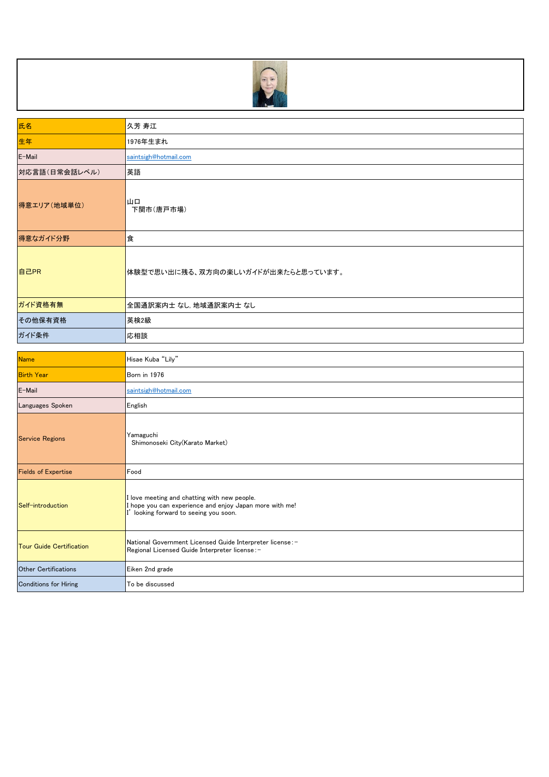

| 氏名            | 久芳 寿江                              |
|---------------|------------------------------------|
| 生年            | 1976年生まれ                           |
| E-Mail        | saintsigh@hotmail.com              |
| 対応言語(日常会話レベル) | 英語                                 |
| 得意エリア(地域単位)   | 山口<br>下関市(唐戸市場)                    |
| 得意なガイド分野      | 食                                  |
| 自己PR          | 体験型で思い出に残る、双方向の楽しいガイドが出来たらと思っています。 |
| ガイド資格有無       | 全国通訳案内士 なし, 地域通訳案内士 なし             |
| その他保有資格       | 英検2級                               |
| ガイド条件         | 応相談                                |

| <b>Name</b>                     | Hisae Kuba "Lily"                                                                                                                              |
|---------------------------------|------------------------------------------------------------------------------------------------------------------------------------------------|
| <b>Birth Year</b>               | Born in 1976                                                                                                                                   |
| E-Mail                          | saintsigh@hotmail.com                                                                                                                          |
| Languages Spoken                | English                                                                                                                                        |
| <b>Service Regions</b>          | Yamaguchi<br>Shimonoseki City(Karato Market)                                                                                                   |
| <b>Fields of Expertise</b>      | Food                                                                                                                                           |
| Self-introduction               | I love meeting and chatting with new people.<br>I hope you can experience and enjoy Japan more with me!<br>looking forward to seeing you soon. |
| <b>Tour Guide Certification</b> | National Government Licensed Guide Interpreter license:-<br>Regional Licensed Guide Interpreter license:-                                      |
| <b>Other Certifications</b>     | Eiken 2nd grade                                                                                                                                |
| <b>Conditions for Hiring</b>    | To be discussed                                                                                                                                |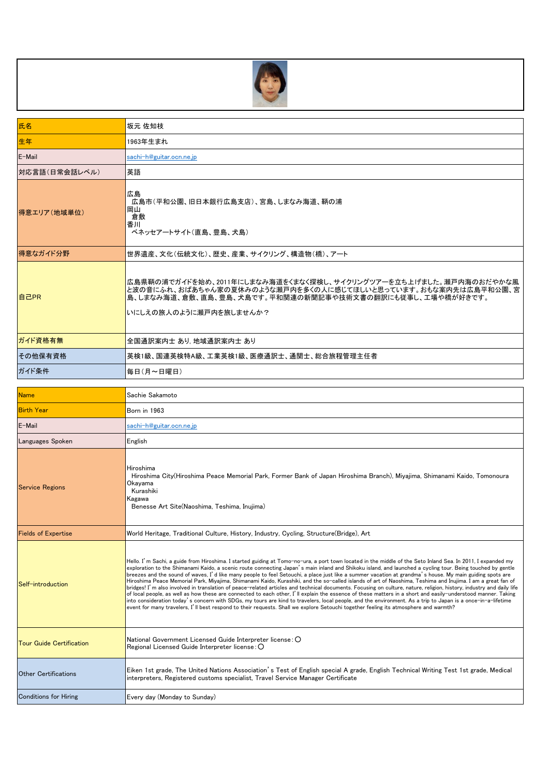

| 氏名                              | 坂元 佐知枝                                                                                                                                                                                                                                                                                                                                                                                                                                                                                                                                                                                                                                                                                                                                                                                                                                                                                                                                                                                                                                                                                                                                                                                                                                                                                               |
|---------------------------------|------------------------------------------------------------------------------------------------------------------------------------------------------------------------------------------------------------------------------------------------------------------------------------------------------------------------------------------------------------------------------------------------------------------------------------------------------------------------------------------------------------------------------------------------------------------------------------------------------------------------------------------------------------------------------------------------------------------------------------------------------------------------------------------------------------------------------------------------------------------------------------------------------------------------------------------------------------------------------------------------------------------------------------------------------------------------------------------------------------------------------------------------------------------------------------------------------------------------------------------------------------------------------------------------------|
| 生年                              | 1963年生まれ                                                                                                                                                                                                                                                                                                                                                                                                                                                                                                                                                                                                                                                                                                                                                                                                                                                                                                                                                                                                                                                                                                                                                                                                                                                                                             |
| E-Mail                          | sachi-h@guitar.ocn.ne.jp                                                                                                                                                                                                                                                                                                                                                                                                                                                                                                                                                                                                                                                                                                                                                                                                                                                                                                                                                                                                                                                                                                                                                                                                                                                                             |
| 対応言語(日常会話レベル)                   | 英語                                                                                                                                                                                                                                                                                                                                                                                                                                                                                                                                                                                                                                                                                                                                                                                                                                                                                                                                                                                                                                                                                                                                                                                                                                                                                                   |
| 得意エリア(地域単位)                     | 広島<br>広島市(平和公園、旧日本銀行広島支店)、宮島、しまなみ海道、鞆の浦<br>岡山<br>倉敷<br>香川<br>ベネッセアートサイト(直島、豊島、犬島)                                                                                                                                                                                                                                                                                                                                                                                                                                                                                                                                                                                                                                                                                                                                                                                                                                                                                                                                                                                                                                                                                                                                                                                                                    |
| 得意なガイド分野                        | 世界遺産、文化(伝統文化)、歴史、産業、サイクリング、構造物(橋)、アート                                                                                                                                                                                                                                                                                                                                                                                                                                                                                                                                                                                                                                                                                                                                                                                                                                                                                                                                                                                                                                                                                                                                                                                                                                                                |
| 自己PR                            | 広島県鞆の浦でガイドを始め、2011年にしまなみ海道をくまなく探検し、サイクリングツアーを立ち上げました。瀬戸内海のおだやかな風<br>と波の音にふれ、おばあちゃん家の夏休みのような瀬戸内を多くの人に感じてほしいと思っています。おもな案内先は広島平和公園、宮<br>島、しまなみ海道、倉敷、直島、豊島、犬島です。平和関連の新聞記事や技術文書の翻訳にも従事し、工場や橋が好きです。<br>いにしえの旅人のように瀬戸内を旅しませんか?                                                                                                                                                                                                                                                                                                                                                                                                                                                                                                                                                                                                                                                                                                                                                                                                                                                                                                                                                                                                                                                                              |
| ガイド資格有無                         | 全国通訳案内士 あり 地域通訳案内士 あり                                                                                                                                                                                                                                                                                                                                                                                                                                                                                                                                                                                                                                                                                                                                                                                                                                                                                                                                                                                                                                                                                                                                                                                                                                                                                |
| その他保有資格                         | 英検1級、国連英検特A級、工業英検1級、医療通訳士、通関士、総合旅程管理主任者                                                                                                                                                                                                                                                                                                                                                                                                                                                                                                                                                                                                                                                                                                                                                                                                                                                                                                                                                                                                                                                                                                                                                                                                                                                              |
| ガイド条件                           | 毎日(月~日曜日)                                                                                                                                                                                                                                                                                                                                                                                                                                                                                                                                                                                                                                                                                                                                                                                                                                                                                                                                                                                                                                                                                                                                                                                                                                                                                            |
| <b>Name</b>                     | Sachie Sakamoto                                                                                                                                                                                                                                                                                                                                                                                                                                                                                                                                                                                                                                                                                                                                                                                                                                                                                                                                                                                                                                                                                                                                                                                                                                                                                      |
| <b>Birth Year</b>               | Born in 1963                                                                                                                                                                                                                                                                                                                                                                                                                                                                                                                                                                                                                                                                                                                                                                                                                                                                                                                                                                                                                                                                                                                                                                                                                                                                                         |
| E-Mail                          | sachi-h@guitar.ocn.ne.jp                                                                                                                                                                                                                                                                                                                                                                                                                                                                                                                                                                                                                                                                                                                                                                                                                                                                                                                                                                                                                                                                                                                                                                                                                                                                             |
| Languages Spoken                | English                                                                                                                                                                                                                                                                                                                                                                                                                                                                                                                                                                                                                                                                                                                                                                                                                                                                                                                                                                                                                                                                                                                                                                                                                                                                                              |
| <b>Service Regions</b>          | Hiroshima<br>Hiroshima City(Hiroshima Peace Memorial Park, Former Bank of Japan Hiroshima Branch), Miyajima, Shimanami Kaido, Tomonoura<br>Okayama<br>Kurashiki<br>Kagawa<br>Benesse Art Site(Naoshima, Teshima, Inuiima)                                                                                                                                                                                                                                                                                                                                                                                                                                                                                                                                                                                                                                                                                                                                                                                                                                                                                                                                                                                                                                                                            |
| <b>Fields of Expertise</b>      | World Heritage, Traditional Culture, History, Industry, Cycling, Structure(Bridge), Art                                                                                                                                                                                                                                                                                                                                                                                                                                                                                                                                                                                                                                                                                                                                                                                                                                                                                                                                                                                                                                                                                                                                                                                                              |
| Self-introduction               | Hello. I'm Sachi, a guide from Hiroshima. I started guiding at Tomo-no-ura, a port town located in the middle of the Seto Inland Sea. In 2011, I expanded my<br>exploration to the Shimanami Kaido, a scenic route connecting Japan's main inland and Shikoku island, and launched a cycling tour. Being touched by gentle<br>breezes and the sound of waves, I'd like many people to feel Setouchi, a place just like a summer vacation at grandma's house. My main guiding spots are<br>Hiroshima Peace Memorial Park, Miyajima, Shimanami Kaido, Kurashiki, and the so-called islands of art of Naoshima, Teshima and Inujima. I am a great fan of<br>bridges! I'm also involved in translation of peace-related articles and technical documents. Focusing on culture, nature, religion, history, industry and daily life<br>of local people, as well as how these are connected to each other, I'll explain the essence of these matters in a short and easily-understood manner. Taking<br>into consideration today's concern with SDGs, my tours are kind to travelers, local people, and the environment. As a trip to Japan is a once-in-a-lifetime<br>event for many travelers, I'll best respond to their requests. Shall we explore Setouchi together feeling its atmosphere and warmth? |
| <b>Tour Guide Certification</b> | National Government Licensed Guide Interpreter license: O<br>Regional Licensed Guide Interpreter license: O                                                                                                                                                                                                                                                                                                                                                                                                                                                                                                                                                                                                                                                                                                                                                                                                                                                                                                                                                                                                                                                                                                                                                                                          |
| <b>Other Certifications</b>     | Eiken 1st grade, The United Nations Association's Test of English special A grade, English Technical Writing Test 1st grade, Medical<br>interpreters, Registered customs specialist, Travel Service Manager Certificate                                                                                                                                                                                                                                                                                                                                                                                                                                                                                                                                                                                                                                                                                                                                                                                                                                                                                                                                                                                                                                                                              |
| <b>Conditions for Hiring</b>    | Every day (Monday to Sunday)                                                                                                                                                                                                                                                                                                                                                                                                                                                                                                                                                                                                                                                                                                                                                                                                                                                                                                                                                                                                                                                                                                                                                                                                                                                                         |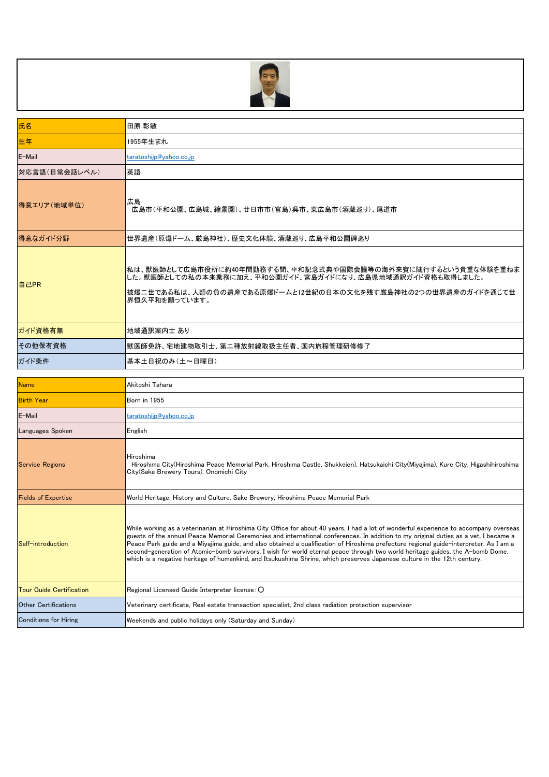

| 氏名                              | 田原 彰敏                                                                                                                                                                                                                                                                                                                                                                                                                                                                                                                                                                                                                                                                                  |
|---------------------------------|----------------------------------------------------------------------------------------------------------------------------------------------------------------------------------------------------------------------------------------------------------------------------------------------------------------------------------------------------------------------------------------------------------------------------------------------------------------------------------------------------------------------------------------------------------------------------------------------------------------------------------------------------------------------------------------|
| 生年                              | 1955年生まれ                                                                                                                                                                                                                                                                                                                                                                                                                                                                                                                                                                                                                                                                               |
| E-Mail                          | taratoshijp@yahoo.co.jp                                                                                                                                                                                                                                                                                                                                                                                                                                                                                                                                                                                                                                                                |
| 対応言語(日常会話レベル)                   | 英語                                                                                                                                                                                                                                                                                                                                                                                                                                                                                                                                                                                                                                                                                     |
| 得意エリア(地域単位)                     | 広島<br>広島市(平和公園、広島城、縮景園)、廿日市市(宮島)呉市、東広島市(酒蔵巡り)、尾道市                                                                                                                                                                                                                                                                                                                                                                                                                                                                                                                                                                                                                                      |
| 得意なガイド分野                        | 世界遺産(原爆ドーム、厳島神社)、歴史文化体験、酒蔵巡り、広島平和公園碑巡り                                                                                                                                                                                                                                                                                                                                                                                                                                                                                                                                                                                                                                                 |
| 自己PR                            | 私は、獣医師として広島市役所に約40年間勤務する間、平和記念式典や国際会議等の海外来賓に随行するという貴重な体験を重ねま<br>した。獣医師としての私の本来業務に加え、平和公園ガイド、宮島ガイドになり、広島県地域通訳ガイド資格も取得しました。<br>被爆二世である私は、人類の負の遺産である原爆ドームと12世紀の日本の文化を残す厳島神社の2つの世界遺産のガイドを通じて世<br>界恒久平和を願っています。                                                                                                                                                                                                                                                                                                                                                                                                                                                                             |
| ガイド資格有無                         | 地域通訳案内士 あり                                                                                                                                                                                                                                                                                                                                                                                                                                                                                                                                                                                                                                                                             |
| その他保有資格                         | 獣医師免許、宅地建物取引士、第二種放射線取扱主任者、国内旅程管理研修修了                                                                                                                                                                                                                                                                                                                                                                                                                                                                                                                                                                                                                                                   |
| ガイド条件                           | 基本土日祝のみ (土~日曜日)                                                                                                                                                                                                                                                                                                                                                                                                                                                                                                                                                                                                                                                                        |
|                                 |                                                                                                                                                                                                                                                                                                                                                                                                                                                                                                                                                                                                                                                                                        |
|                                 |                                                                                                                                                                                                                                                                                                                                                                                                                                                                                                                                                                                                                                                                                        |
| <b>Name</b>                     | Akitoshi Tahara                                                                                                                                                                                                                                                                                                                                                                                                                                                                                                                                                                                                                                                                        |
| <b>Birth Year</b><br>E-Mail     | Born in 1955<br>taratoshijp@yahoo.co.jp                                                                                                                                                                                                                                                                                                                                                                                                                                                                                                                                                                                                                                                |
| Languages Spoken                | English                                                                                                                                                                                                                                                                                                                                                                                                                                                                                                                                                                                                                                                                                |
| <b>Service Regions</b>          | Hiroshima<br>Hiroshima City(Hiroshima Peace Memorial Park, Hiroshima Castle, Shukkeien), Hatsukaichi City(Miyajima), Kure City, Higashihiroshima<br>City (Sake Brewery Tours), Onomichi City                                                                                                                                                                                                                                                                                                                                                                                                                                                                                           |
| <b>Fields of Expertise</b>      | World Heritage, History and Culture, Sake Brewery, Hiroshima Peace Memorial Park                                                                                                                                                                                                                                                                                                                                                                                                                                                                                                                                                                                                       |
| Self-introduction               | While working as a veterinarian at Hiroshima City Office for about 40 years, I had a lot of wonderful experience to accompany overseas<br>guests of the annual Peace Memorial Ceremonies and international conferences. In addition to my original duties as a vet, I became a<br>Peace Park guide and a Miyajima guide, and also obtained a qualification of Hiroshima prefecture regional guide-interpreter. As I am a<br>second-generation of Atomic-bomb survivors, I wish for world eternal peace through two world heritage guides, the A-bomb Dome,<br>which is a negative heritage of humankind, and Itsukushima Shrine, which preserves Japanese culture in the 12th century. |
| <b>Tour Guide Certification</b> | Regional Licensed Guide Interpreter license: O                                                                                                                                                                                                                                                                                                                                                                                                                                                                                                                                                                                                                                         |
| <b>Other Certifications</b>     | Veterinary certificate, Real estate transaction specialist, 2nd class radiation protection supervisor                                                                                                                                                                                                                                                                                                                                                                                                                                                                                                                                                                                  |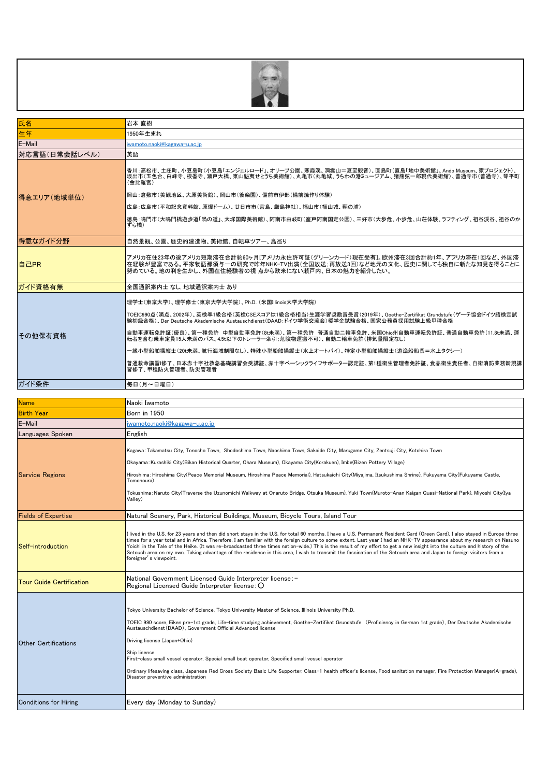

| 氏名            | 岩本 直樹                                                                                                                                                                                                                                                                                                                                                                                                                                                                                                                                                                                |
|---------------|--------------------------------------------------------------------------------------------------------------------------------------------------------------------------------------------------------------------------------------------------------------------------------------------------------------------------------------------------------------------------------------------------------------------------------------------------------------------------------------------------------------------------------------------------------------------------------------|
| 生年            | 1950年生まれ                                                                                                                                                                                                                                                                                                                                                                                                                                                                                                                                                                             |
| E-Mail        | iwamoto.naoki@kagawa-u.ac.ip                                                                                                                                                                                                                                                                                                                                                                                                                                                                                                                                                         |
| 対応言語(日常会話レベル) | 英語                                                                                                                                                                                                                                                                                                                                                                                                                                                                                                                                                                                   |
| 得意エリア(地域単位)   | 香川:高松市、土庄町、小豆島町(小豆島「エンジェルロード」、オリーブ公園、寒霞渓、洞雲山=夏至観音)、直島町(直島「地中美術館」、Ando Museum、家プロジェクト)、<br> 坂出市(五色台、白峰寺、根香寺、瀬戸大橋、東山魁夷せとうち美術館)、丸亀市(丸亀城、うちわの港ミュージアム、猪能弦一郎現代美術館)、善通寺市(善通寺)、琴平町<br>(金比羅宮)<br>岡山:倉敷市(美観地区、大原美術館)、岡山市(後楽園)、備前市伊部(備前焼作り体験)                                                                                                                                                                                                                                                                                                                                                   |
|               | 広島:広島市(平和記念資料館、原爆ドーム)、廿日市市(宮島、厳島神社)、福山市(福山城、鞆の浦)                                                                                                                                                                                                                                                                                                                                                                                                                                                                                                                                     |
|               | 徳島:鳴門市(大鳴門橋遊歩道「渦の道」、大塚国際美術館)、阿南市由岐町(室戸阿南国定公園)、三好市(大歩危、小歩危、山荘体験、ラフティング、祖谷渓谷、祖谷のか<br>ずら橋)                                                                                                                                                                                                                                                                                                                                                                                                                                                                                              |
| 得意なガイド分野      | 自然景観、公園、歴史的建造物、美術館、自転車ツアー、鳥巡り                                                                                                                                                                                                                                                                                                                                                                                                                                                                                                                                                        |
| 自己PR          | アメリカ在住23年の後アメリカ短期滞在合計約60ヶ月「アメリカ永住許可証(グリーンカード)現在受有]。欧州滞在3回合計約1年、アフリカ滞在1回など、外国滞<br>在経験が豊富である。平家物語那須与一の研究で昨年NHK-TV出演(全国放送:再放送3回)など地元の文化、歴史に関しても独自に新たな知見を得ることに<br> 努めている。地の利を生かし、外国在住経験者の視 点から欧米にない瀬戸内、日本の魅力を紹介したい。                                                                                                                                                                                                                                                                                                                                                                      |
| ガイド資格有無       | 全国通訳案内士 なし. 地域通訳案内士 あり                                                                                                                                                                                                                                                                                                                                                                                                                                                                                                                                                               |
| その他保有資格       | 理学士(東京大学)、理学修士(東京大学大学院)、Ph.D.(米国Illinois大学大学院)<br>TOEIC990点(満点、2002年)、英検準1級合格(英検CSEスコアは1級合格相当)生涯学習奨励賞受賞(2019年)、Goethe-Zertifikat Grundstufe(ゲーテ協会ドイツ語検定試<br>験初級合格)、Der Deutsche Akademische Austauschdienst(DAAD:ドイツ学術交流会)奨学金試験合格、国家公務員採用試験上級甲種合格<br>自動車運転免許証(優良)、第一種免許 中型自動車免許(8t未満)、第一種免許 普通自動二輪車免許、米国Ohio州自動車運転免許証、普通自動車免許(11.8t未満、運<br>転者を含む乗車定員15人未満のバス、4.5t以下のトレーラー牽引:危険物運搬不可)、自動二輪車免許(排気量限定なし)<br>ー級小型船舶操縦士(20t未満、航行海域制限なし)、特殊小型船舶操縦士(水上オートバイ)、特定小型船舶操縦士(遊漁船船長=水上タクシー)<br> 普通救命講習 修了、日本赤十字社救急基礎講習会受講証、赤十字ベーシックライフサポーター認定証、第1種衛生管理者免許証、食品衛生責任者、自衛消防業務新規講<br> 習修了、甲種防火管理者、防災管理者 |
| ガイド条件         | 毎日(月~日曜日)                                                                                                                                                                                                                                                                                                                                                                                                                                                                                                                                                                            |

| Name                            | Naoki Iwamoto                                                                                                                                                                                                                                                                                                                                                                                                                                                                                                                                                                                                                                                                                                                           |
|---------------------------------|-----------------------------------------------------------------------------------------------------------------------------------------------------------------------------------------------------------------------------------------------------------------------------------------------------------------------------------------------------------------------------------------------------------------------------------------------------------------------------------------------------------------------------------------------------------------------------------------------------------------------------------------------------------------------------------------------------------------------------------------|
| <b>Birth Year</b>               | <b>Born</b> in 1950                                                                                                                                                                                                                                                                                                                                                                                                                                                                                                                                                                                                                                                                                                                     |
| E-Mail                          | iwamoto.naoki@kagawa-u.ac.ip                                                                                                                                                                                                                                                                                                                                                                                                                                                                                                                                                                                                                                                                                                            |
| Languages Spoken                | English                                                                                                                                                                                                                                                                                                                                                                                                                                                                                                                                                                                                                                                                                                                                 |
| <b>Service Regions</b>          | Kagawa:Takamatsu City, Tonosho Town, Shodoshima Town, Naoshima Town, Sakaide City, Marugame City, Zentsuji City, Kotohira Town<br>Okayama:Kurashiki City(Bikan Historical Quarter, Ohara Museum), Okayama City(Korakuen), Imbe(Bizen Pottery Village)<br>Hiroshima: Hiroshima City(Peace Memorial Museum, Hiroshima Peace Memorial), Hatsukaichi City(Miyajima, Itsukushima Shrine), Fukuyama City(Fukuyama Castle,<br>Tomonoura)<br>Tokushima : Naruto City(Traverse the Uzunomichi Walkway at Onaruto Bridge, Otsuka Museum), Yuki Town(Muroto-Anan Kaigan Quasi-National Park), Miyoshi City(Iya<br>Vallev)                                                                                                                          |
| <b>Fields of Expertise</b>      | Natural Scenery, Park, Historical Buildings, Museum, Bicycle Tours, Island Tour                                                                                                                                                                                                                                                                                                                                                                                                                                                                                                                                                                                                                                                         |
| Self-introduction               | I lived in the U.S. for 23 years and then did short stays in the U.S. for total 60 months. I have a U.S. Permanent Resident Card (Green Card). I also stayed in Europe three<br>times for a year total and in Africa. Therefore, I am familiar with the foreign culture to some extent. Last year I had an NHK-TV appearance about my research on Nasuno<br>Yoichi in the Tale of the Heike. (It was re-broadcasted three times nation-wide.) This is the result of my effort to get a new insight into the culture and history of the<br>Setouch area on my own. Taking advantage of the residence in this area, I wish to transmit the fascination of the Setouch area and Japan to foreign visitors from a<br>foreigner's viewpoint. |
| <b>Tour Guide Certification</b> | National Government Licensed Guide Interpreter license: -<br>Regional Licensed Guide Interpreter license: O                                                                                                                                                                                                                                                                                                                                                                                                                                                                                                                                                                                                                             |
| <b>Other Certifications</b>     | Tokyo University Bachelor of Science, Tokyo University Master of Science, Illinois University Ph.D.<br>TOEIC 990 score, Eiken pre-1st grade, Life-time studying achievement, Goethe-Zertifikat Grundstufe (Proficiency in German 1st grade), Der Deutsche Akademische<br>Austauschdienst (DAAD), Government Official Advanced license<br>Driving license (Japan+Ohio)<br>Ship license<br>First-class small vessel operator, Special small boat operator, Specified small vessel operator<br>Ordinary lifesaving class, Japanese Red Cross Society Basic Life Supporter, Class-1 health officer's license, Food sanitation manager, Fire Protection Manager(A-grade),<br>Disaster preventive administration                              |
| <b>Conditions for Hiring</b>    | Every day (Monday to Sunday)                                                                                                                                                                                                                                                                                                                                                                                                                                                                                                                                                                                                                                                                                                            |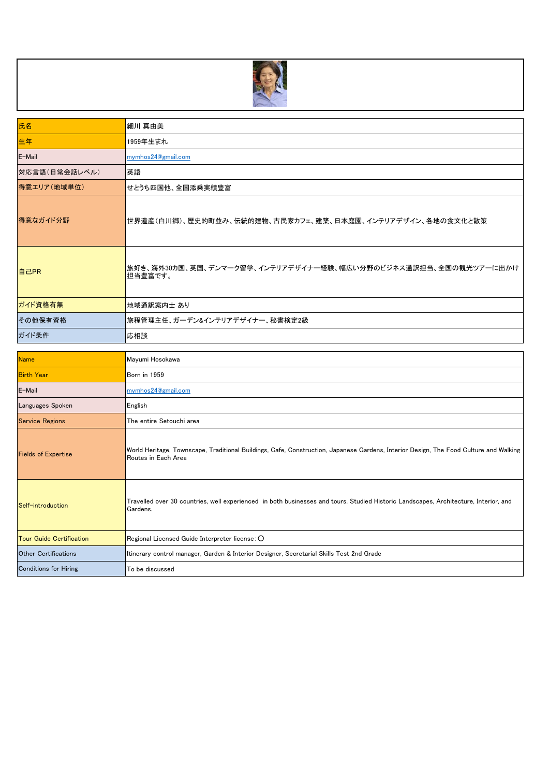

| 氏名            | 細川 真由美                                                                    |
|---------------|---------------------------------------------------------------------------|
| 生年            | 1959年生まれ                                                                  |
| E-Mail        | mymhos24@gmail.com                                                        |
| 対応言語(日常会話レベル) | 英語                                                                        |
| 得意エリア(地域単位)   | せとうち四国他、全国添乗実績豊富                                                          |
| 得意なガイド分野      | 世界遺産(白川郷)、歴史的町並み、伝統的建物、古民家カフェ、建築、日本庭園、インテリアデザイン、各地の食文化と散策                 |
| 自己PR          | 旅好き、海外30カ国、英国、デンマーク留学、インテリアデザイナー経験、幅広い分野のビジネス通訳担当、全国の観光ツアーに出かけ<br>担当豊富です。 |
| ガイド資格有無       | 地域通訳案内士 あり                                                                |
| その他保有資格       | 旅程管理主任、ガーデン&インテリアデザイナー、秘書検定2級                                             |
| ガイド条件         | 応相談                                                                       |

| <b>Name</b>                     | Mayumi Hosokawa                                                                                                                                              |
|---------------------------------|--------------------------------------------------------------------------------------------------------------------------------------------------------------|
| <b>Birth Year</b>               | <b>Born</b> in 1959                                                                                                                                          |
| E-Mail                          | mymhos24@gmail.com                                                                                                                                           |
| Languages Spoken                | English                                                                                                                                                      |
| <b>Service Regions</b>          | The entire Setouchi area                                                                                                                                     |
| <b>Fields of Expertise</b>      | World Heritage, Townscape, Traditional Buildings, Cafe, Construction, Japanese Gardens, Interior Design, The Food Culture and Walking<br>Routes in Each Area |
| Self-introduction               | Travelled over 30 countries, well experienced in both businesses and tours. Studied Historic Landscapes, Architecture, Interior, and<br>Gardens.             |
| <b>Tour Guide Certification</b> | Regional Licensed Guide Interpreter license: O                                                                                                               |
| <b>Other Certifications</b>     | Itinerary control manager, Garden & Interior Designer, Secretarial Skills Test 2nd Grade                                                                     |
| <b>Conditions for Hiring</b>    | To be discussed                                                                                                                                              |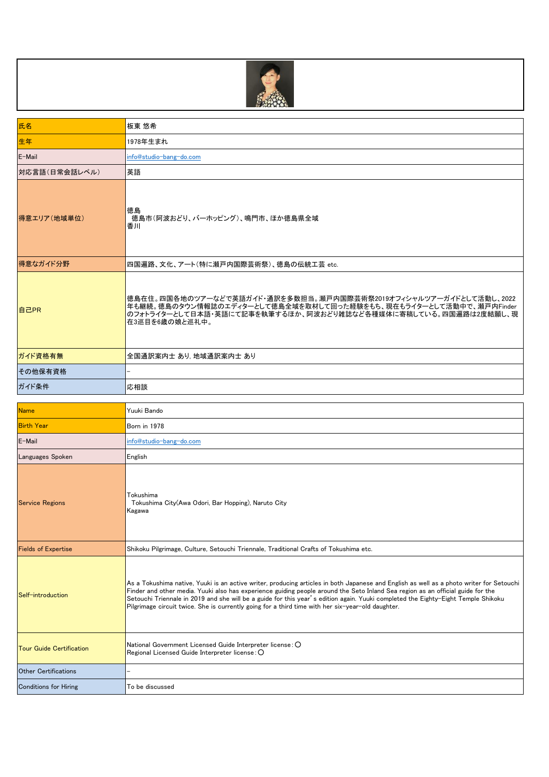

| 氏名                              | 板東 悠希                                                                                                                                                                                                                                                                                                                                                                                                                                                                                                                 |
|---------------------------------|-----------------------------------------------------------------------------------------------------------------------------------------------------------------------------------------------------------------------------------------------------------------------------------------------------------------------------------------------------------------------------------------------------------------------------------------------------------------------------------------------------------------------|
| 生年                              | 1978年生まれ                                                                                                                                                                                                                                                                                                                                                                                                                                                                                                              |
| E-Mail                          | info@studio-bang-do.com                                                                                                                                                                                                                                                                                                                                                                                                                                                                                               |
| 対応言語(日常会話レベル)                   | 英語                                                                                                                                                                                                                                                                                                                                                                                                                                                                                                                    |
| 得意エリア(地域単位)                     | 徳島<br>徳島市(阿波おどり、バーホッピング)、鳴門市、ほか徳島県全域<br>香川                                                                                                                                                                                                                                                                                                                                                                                                                                                                            |
| 得意なガイド分野                        | 四国遍路、文化、アート(特に瀬戸内国際芸術祭)、徳島の伝統工芸 etc.                                                                                                                                                                                                                                                                                                                                                                                                                                                                                  |
| 自己PR                            | 徳島在住。四国各地のツアーなどで英語ガイド・通訳を多数担当。瀬戸内国際芸術祭2019オフィシャルツアーガイドとして活動し、2022<br>年も継続。徳島のタウン情報誌のエディターとして徳島全域を取材して回った経験をもち、現在もライターとして活動中で、瀬戸内Finder<br> のフォトライターとして日本語・英語にて記事を執筆するほか、阿波おどり雑誌など各種媒体に寄稿している。四国遍路は2度結願し、現<br> 在3巡目を6歳の娘と巡礼中。                                                                                                                                                                                                                                                                                          |
| ガイド資格有無                         | 全国通訳案内士 あり, 地域通訳案内士 あり                                                                                                                                                                                                                                                                                                                                                                                                                                                                                                |
| その他保有資格                         |                                                                                                                                                                                                                                                                                                                                                                                                                                                                                                                       |
| ガイド条件                           | 応相談                                                                                                                                                                                                                                                                                                                                                                                                                                                                                                                   |
| <b>Name</b>                     | Yuuki Bando                                                                                                                                                                                                                                                                                                                                                                                                                                                                                                           |
| <b>Birth Year</b>               | Born in 1978                                                                                                                                                                                                                                                                                                                                                                                                                                                                                                          |
| E-Mail                          | info@studio-bang-do.com                                                                                                                                                                                                                                                                                                                                                                                                                                                                                               |
| Languages Spoken                | English                                                                                                                                                                                                                                                                                                                                                                                                                                                                                                               |
| <b>Service Regions</b>          | Tokushima<br>Tokushima City(Awa Odori, Bar Hopping), Naruto City<br>Kagawa                                                                                                                                                                                                                                                                                                                                                                                                                                            |
| <b>Fields of Expertise</b>      | Shikoku Pilgrimage, Culture, Setouchi Triennale, Traditional Crafts of Tokushima etc.                                                                                                                                                                                                                                                                                                                                                                                                                                 |
| Self-introduction               | As a Tokushima native, Yuuki is an active writer, producing articles in both Japanese and English as well as a photo writer for Setouchi<br>Finder and other media. Yuuki also has experience guiding people around the Seto Inland Sea region as an official guide for the<br>Setouchi Triennale in 2019 and she will be a guide for this year's edition again. Yuuki completed the Eighty-Eight Temple Shikoku<br>Pilgrimage circuit twice. She is currently going for a third time with her six-year-old daughter. |
| <b>Tour Guide Certification</b> | National Government Licensed Guide Interpreter license: O<br>Regional Licensed Guide Interpreter license: O                                                                                                                                                                                                                                                                                                                                                                                                           |
| <b>Other Certifications</b>     |                                                                                                                                                                                                                                                                                                                                                                                                                                                                                                                       |
| Conditions for Hiring           | To be discussed                                                                                                                                                                                                                                                                                                                                                                                                                                                                                                       |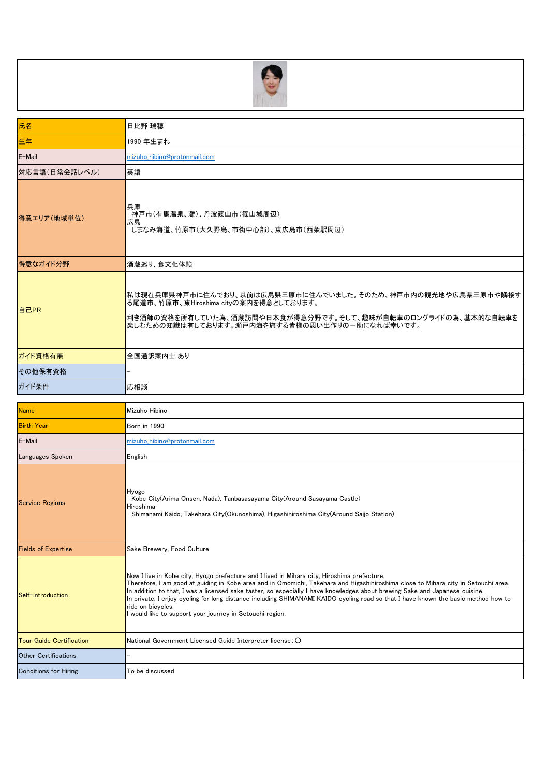

| 氏名                               | 日比野 瑞穂                                                                                                                                                                                                                                                                                                                                                                                                                                                                                                                                                                               |
|----------------------------------|--------------------------------------------------------------------------------------------------------------------------------------------------------------------------------------------------------------------------------------------------------------------------------------------------------------------------------------------------------------------------------------------------------------------------------------------------------------------------------------------------------------------------------------------------------------------------------------|
| 生年                               | 1990 年生まれ                                                                                                                                                                                                                                                                                                                                                                                                                                                                                                                                                                            |
| E-Mail                           | mizuho hibino@protonmail.com                                                                                                                                                                                                                                                                                                                                                                                                                                                                                                                                                         |
| 対応言語(日常会話レベル)                    | 英語                                                                                                                                                                                                                                                                                                                                                                                                                                                                                                                                                                                   |
| 得意エリア(地域単位)                      | 兵庫<br>神戸市(有馬温泉、灘)、丹波篠山市(篠山城周辺)<br>広島<br>しまなみ海道、竹原市(大久野島、市街中心部)、東広島市(西条駅周辺)                                                                                                                                                                                                                                                                                                                                                                                                                                                                                                           |
| 得意なガイド分野                         | 酒蔵巡り、食文化体験                                                                                                                                                                                                                                                                                                                                                                                                                                                                                                                                                                           |
| 自己PR                             | 私は現在兵庫県神戸市に住んでおり、以前は広島県三原市に住んでいました。そのため、神戸市内の観光地や広島県三原市や隣接す<br>る尾道市、竹原市、東Hiroshima cityの案内を得意としております。<br> 利き酒師の資格を所有していた為、酒蔵訪問や日本食が得意分野です。そして、趣味が自転車のロングライドの為、基本的な自転車を<br>楽しむための知識は有しております。瀬戸内海を旅する皆様の思い出作りの一助になれば幸いです。                                                                                                                                                                                                                                                                                                                                                              |
| ガイド資格有無                          | 全国通訳案内士 あり                                                                                                                                                                                                                                                                                                                                                                                                                                                                                                                                                                           |
| その他保有資格                          |                                                                                                                                                                                                                                                                                                                                                                                                                                                                                                                                                                                      |
| ガイド条件                            | 応相談                                                                                                                                                                                                                                                                                                                                                                                                                                                                                                                                                                                  |
|                                  |                                                                                                                                                                                                                                                                                                                                                                                                                                                                                                                                                                                      |
|                                  |                                                                                                                                                                                                                                                                                                                                                                                                                                                                                                                                                                                      |
| <b>Name</b><br><b>Birth Year</b> | Mizuho Hibino<br>Born in 1990                                                                                                                                                                                                                                                                                                                                                                                                                                                                                                                                                        |
| E-Mail                           | mizuho hibino@protonmail.com                                                                                                                                                                                                                                                                                                                                                                                                                                                                                                                                                         |
| Languages Spoken                 | English                                                                                                                                                                                                                                                                                                                                                                                                                                                                                                                                                                              |
| <b>Service Regions</b>           | Hyogo<br>Kobe City(Arima Onsen, Nada), Tanbasasayama City(Around Sasayama Castle)<br>Hiroshima<br>Shimanami Kaido, Takehara City(Okunoshima), Higashihiroshima City(Around Saijo Station)                                                                                                                                                                                                                                                                                                                                                                                            |
| <b>Fields of Expertise</b>       | Sake Brewery, Food Culture                                                                                                                                                                                                                                                                                                                                                                                                                                                                                                                                                           |
| Self-introduction                | Now I live in Kobe city, Hyogo prefecture and I lived in Mihara city, Hiroshima prefecture.<br>Therefore, I am good at guiding in Kobe area and in Omomichi, Takehara and Higashihiroshima close to Mihara city in Setouchi area.<br>In addition to that, I was a licensed sake taster, so especially I have knowledges about brewing Sake and Japanese cuisine.<br>In private, I enjoy cycling for long distance including SHIMANAMI KAIDO cycling road so that I have known the basic method how to<br>ride on bicycles.<br>would like to support your journey in Setouchi region. |
| <b>Tour Guide Certification</b>  | National Government Licensed Guide Interpreter license: O                                                                                                                                                                                                                                                                                                                                                                                                                                                                                                                            |
| <b>Other Certifications</b>      |                                                                                                                                                                                                                                                                                                                                                                                                                                                                                                                                                                                      |